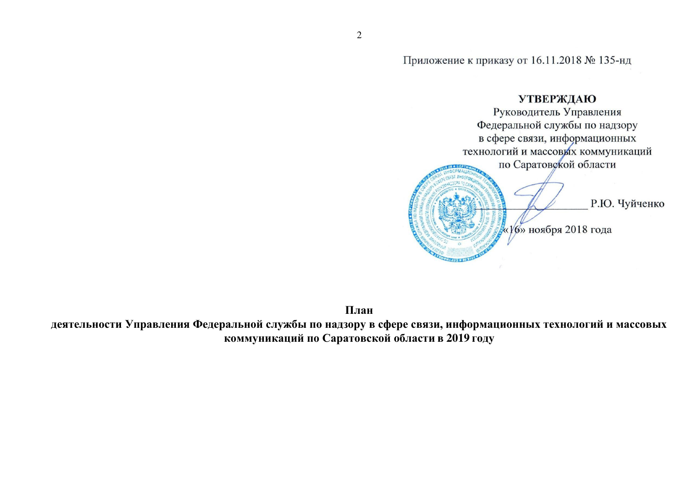Приложение к приказу от 16.11.2018 № 135-нд

# **УТВЕРЖДАЮ** Руководитель Управления Федеральной службы по надзору в сфере связи, информационных технологий и массовых коммуникаций по Саратовской области Р.Ю. Чуйченко «16» ноября 2018 года

**План** 

деятельности Управления Федеральной службы по надзору в сфере связи, информационных технологий и массовых **коммуникаций по Саратовской области в 2019 году**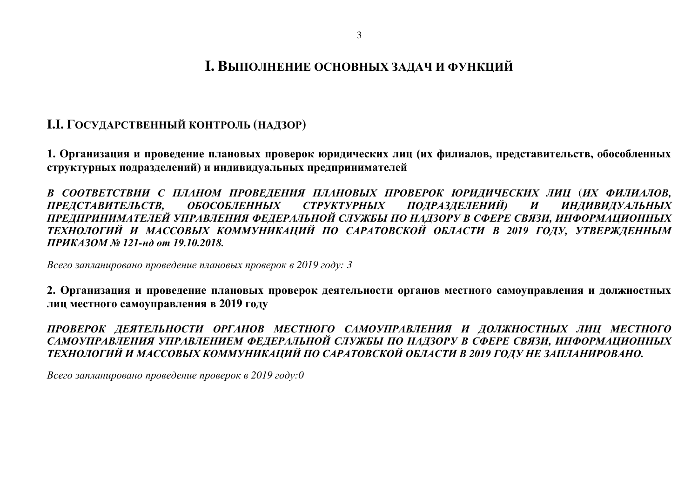## **І.І.** ГОСУДАРСТВЕННЫЙ КОНТРОЛЬ (НАДЗОР)

1. Организация и проведение плановых проверок юридических лиц (их филиалов, представительств, обособленных структурных подразделений) и индивидуальных предпринимателей

В СООТВЕТСТВИИ С ПЛАНОМ ПРОВЕДЕНИЯ ПЛАНОВЫХ ПРОВЕРОК ЮРИДИЧЕСКИХ ЛИЦ (ИХ ФИЛИАЛОВ,<br>ПРЕДСТАВИТЕЛЬСТВ, ОБОСОБЛЕННЫХ СТРУКТУРНЫХ ПОДРАЗДЕЛЕНИЙ) И ИНДИВИДУАЛЬНЫХ *ɉɊȿȾɋɌȺȼɂɌȿɅɖɋɌȼ, ɈȻɈɋɈȻɅȿɇɇɕɏ ɋɌɊɍɄɌɍɊɇɕɏ ɉɈȾɊȺɁȾȿɅȿɇɂɃ) ɂ ɂɇȾɂȼɂȾɍȺɅɖɇɕɏ*  ПРЕДПРИНИМАТЕЛЕЙ УПРАВЛЕНИЯ ФЕДЕРАЛЬНОЙ СЛУЖБЫ ПО НАДЗОРУ В СФЕРЕ СВЯЗИ, ИНФОРМАЦИОННЫХ ТЕХНОЛОГИЙ И МАССОВЫХ КОММУНИКАЦИЙ ПО САРАТОВСКОЙ ОБЛАСТИ В 2019 ГОДУ, УТВЕРЖДЕННЫМ *ɉɊɂɄȺɁɈɆ № 121-ɧɞ ɨɬ 19.10.2018.* 

*Всего запланировано проведение плановых проверок в 2019 году: 3* 

2. Организация и проведение плановых проверок деятельности органов местного самоуправления и должностных **ЈИШ МЕСТНОГО САМОУПРАВЛЕНИЯ В 2019 ГОДУ** 

*ɉɊɈȼȿɊɈɄ ȾȿəɌȿɅɖɇɈɋɌɂ ɈɊȽȺɇɈȼ ɆȿɋɌɇɈȽɈ ɋȺɆɈɍɉɊȺȼɅȿɇɂə ɂ ȾɈɅɀɇɈɋɌɇɕɏ Ʌɂɐ ɆȿɋɌɇɈȽɈ* САМОУПРАВЛЕНИЯ УПРАВЛЕНИЕМ ФЕДЕРАЛЬНОЙ СЛУЖБЫ ПО НАДЗОРУ В СФЕРЕ СВЯЗИ, ИНФОРМАЦИОННЫХ ТЕХНОЛОГИЙ И МАССОВЫХ КОММУНИКАЦИЙ ПО САРАТОВСКОЙ ОБЛАСТИ В 2019 ГОДУ НЕ ЗАПЛАНИРОВАНО.

*Всего запланировано проведение проверок в 2019 году:0*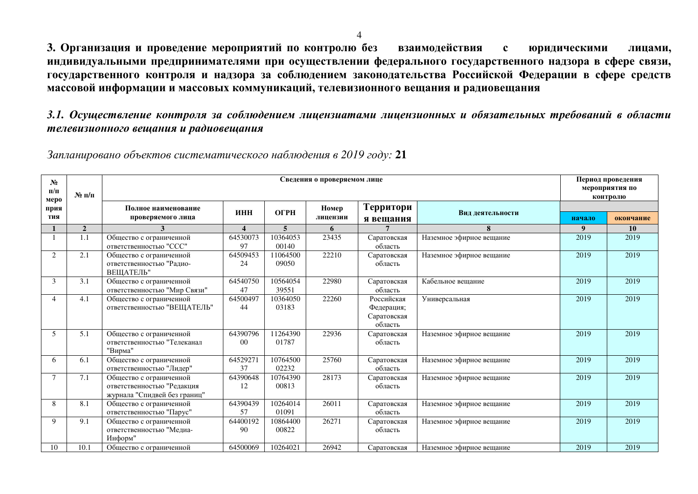3. Организация и проведение мероприятий по контролю без взаимодействия с юридическими лицами, индивидуальными предпринимателями при осуществлении федерального государственного надзора в сфере связи, государственного контроля и надзора за соблюдением законодательства Российской Федерации в сфере средств массовой информации и массовых коммуникаций, телевизионного вещания и радиовещания

3.1. Осуществление контроля за соблюдением лицензиатами лицензионных и обязательных требований в области  $m$ елевизионного вещания и радиовещания

Запланировано объектов систематического наблюдения в 2019 году: 21

| $N_2$<br>$\Pi/\Pi$<br>меро | $N_2$ п/п      |                                                                                       | Сведения о проверяемом лице |                         |                   |                                                    |                          |        |           |
|----------------------------|----------------|---------------------------------------------------------------------------------------|-----------------------------|-------------------------|-------------------|----------------------------------------------------|--------------------------|--------|-----------|
| прия<br>тия                |                | Полное наименование<br>проверяемого лица                                              | ИНН                         | <b>OFPH</b>             | Номер<br>лицензии | Территори<br>я вещания                             | Вид деятельности         | начало | окончание |
|                            | $\overline{2}$ |                                                                                       | $\boldsymbol{\Delta}$       | $\overline{\mathbf{5}}$ | 6                 |                                                    | 8                        | 9      | <b>10</b> |
|                            | 1.1            | Общество с ограниченной<br>ответственностью "ССС"                                     | 64530073<br>97              | 10364053<br>00140       | 23435             | Саратовская<br>область                             | Наземное эфирное вещание | 2019   | 2019      |
| $\overline{2}$             | 2.1            | Общество с ограниченной<br>ответственностью "Радио-<br>ВЕЩАТЕЛЬ"                      | 64509453<br>24              | 11064500<br>09050       | 22210             | Саратовская<br>область                             | Наземное эфирное вещание | 2019   | 2019      |
| 3                          | 3.1            | Общество с ограниченной<br>ответственностью "Мир Связи"                               | 64540750<br>47              | 10564054<br>39551       | 22980             | Саратовская<br>область                             | Кабельное вещание        | 2019   | 2019      |
| $\overline{4}$             | 4.1            | Общество с ограниченной<br>ответственностью "ВЕЩАТЕЛЬ"                                | 64500497<br>44              | 10364050<br>03183       | 22260             | Российская<br>Федерация;<br>Саратовская<br>область | Универсальная            | 2019   | 2019      |
| 5                          | 5.1            | Общество с ограниченной<br>ответственностью "Телеканал<br>"Вирма"                     | 64390796<br>0 <sup>0</sup>  | 11264390<br>01787       | 22936             | Саратовская<br>область                             | Наземное эфирное вещание | 2019   | 2019      |
| 6                          | 6.1            | Общество с ограниченной<br>ответственностью "Лидер"                                   | 64529271<br>37              | 10764500<br>02232       | 25760             | Саратовская<br>область                             | Наземное эфирное вещание | 2019   | 2019      |
| 7                          | 7.1            | Общество с ограниченной<br>ответственностью "Редакция<br>журнала "Спидвей без границ" | 64390648<br>12              | 10764390<br>00813       | 28173             | Саратовская<br>область                             | Наземное эфирное вещание | 2019   | 2019      |
| 8                          | 8.1            | Общество с ограниченной<br>ответственностью "Парус"                                   | 64390439<br>57              | 10264014<br>01091       | 26011             | Саратовская<br>область                             | Наземное эфирное вещание | 2019   | 2019      |
| $\mathbf Q$                | 9.1            | Общество с ограниченной<br>ответственностью "Медиа-<br>Информ"                        | 64400192<br>90              | 10864400<br>00822       | 26271             | Саратовская<br>область                             | Наземное эфирное вещание | 2019   | 2019      |
| 10                         | 10.1           | Общество с ограниченной                                                               | 64500069                    | 10264021                | 26942             | Саратовская                                        | Наземное эфирное вещание | 2019   | 2019      |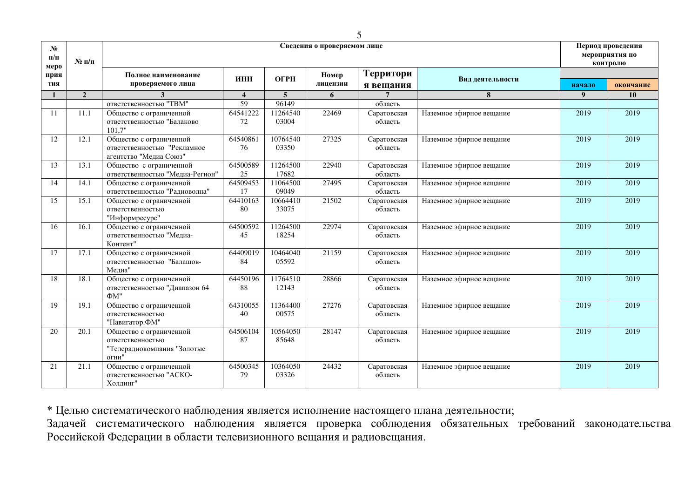| $N_2$<br>$\Pi/\Pi$  | $N_2$ п/п      |                                                                                     |                         |                   | Сведения о проверяемом лице |                        |                          | Период проведения<br>мероприятия по<br>контролю |           |
|---------------------|----------------|-------------------------------------------------------------------------------------|-------------------------|-------------------|-----------------------------|------------------------|--------------------------|-------------------------------------------------|-----------|
| меро<br>прия<br>тия |                | Полное наименование<br>проверяемого лица                                            | ИНН                     | ОГРН              | Номер<br>лицензии           | Территори<br>я вещания | Вид деятельности         | начало                                          | окончание |
| $\mathbf{1}$        | $\overline{2}$ | 3                                                                                   | $\overline{\mathbf{4}}$ | $\overline{5}$    | 6                           | $\overline{7}$         | 8                        | 9                                               | <b>10</b> |
|                     |                | ответственностью "ТВМ"                                                              | 59                      | 96149             |                             | область                |                          |                                                 |           |
| 11                  | 11.1           | Общество с ограниченной<br>ответственностью "Балаково<br>101,7"                     | 64541222<br>72          | 11264540<br>03004 | 22469                       | Саратовская<br>область | Наземное эфирное вещание | 2019                                            | 2019      |
| 12                  | 12.1           | Общество с ограниченной<br>ответственностью "Рекламное<br>агентство "Медиа Союз"    | 64540861<br>76          | 10764540<br>03350 | 27325                       | Саратовская<br>область | Наземное эфирное вещание | 2019                                            | 2019      |
| 13                  | 13.1           | Общество с ограниченной<br>ответственностью "Медиа-Регион"                          | 64500589<br>25          | 11264500<br>17682 | 22940                       | Саратовская<br>область | Наземное эфирное вещание | 2019                                            | 2019      |
| 14                  | 14.1           | Общество с ограниченной<br>ответственностью "Радиоволна"                            | 64509453<br>17          | 11064500<br>09049 | 27495                       | Саратовская<br>область | Наземное эфирное вещание | 2019                                            | 2019      |
| 15                  | 15.1           | Общество с ограниченной<br>ответственностью<br>"Информресурс"                       | 64410163<br>80          | 10664410<br>33075 | 21502                       | Саратовская<br>область | Наземное эфирное вещание | 2019                                            | 2019      |
| 16                  | 16.1           | Общество с ограниченной<br>ответственностью "Медиа-<br>Контент"                     | 64500592<br>45          | 11264500<br>18254 | 22974                       | Саратовская<br>область | Наземное эфирное вещание | 2019                                            | 2019      |
| 17                  | 17.1           | Общество с ограниченной<br>ответственностью "Балашов-<br>Медиа"                     | 64409019<br>84          | 10464040<br>05592 | 21159                       | Саратовская<br>область | Наземное эфирное вещание | 2019                                            | 2019      |
| 18                  | 18.1           | Общество с ограниченной<br>ответственностью "Диапазон 64<br>$\Phi M$ "              | 64450196<br>88          | 11764510<br>12143 | 28866                       | Саратовская<br>область | Наземное эфирное вещание | 2019                                            | 2019      |
| 19                  | 19.1           | Общество с ограниченной<br>ответственностью<br>"Навигатор.ФМ"                       | 64310055<br>40          | 11364400<br>00575 | 27276                       | Саратовская<br>область | Наземное эфирное вещание | 2019                                            | 2019      |
| 20                  | 20.1           | Общество с ограниченной<br>ответственностью<br>"Телерадиокомпания "Золотые<br>огни" | 64506104<br>87          | 10564050<br>85648 | 28147                       | Саратовская<br>область | Наземное эфирное вещание | 2019                                            | 2019      |
| 21                  | 21.1           | Общество с ограниченной<br>ответственностью "АСКО-<br>Холдинг"                      | 64500345<br>79          | 10364050<br>03326 | 24432                       | Саратовская<br>область | Наземное эфирное вещание | 2019                                            | 2019      |

\* Целью систематического наблюдения является исполнение настоящего плана деятельности;

Задачей систематического наблюдения является проверка соблюдения обязательных требований законодательства Российской Федерации в области телевизионного вещания и радиовещания.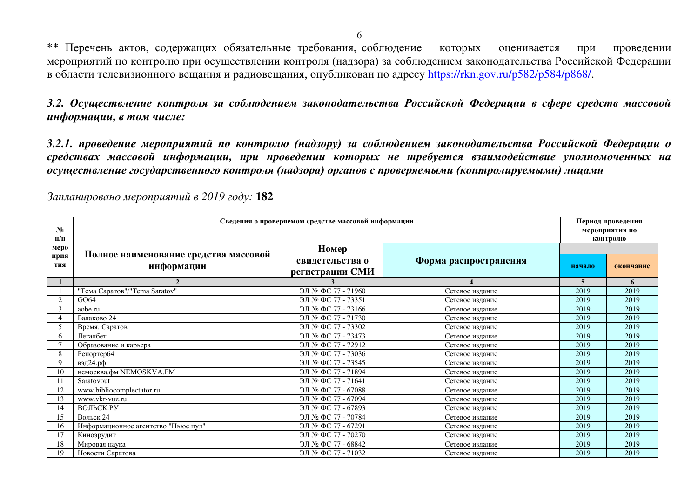\*\* Перечень актов, содержащих обязательные требования, соблюдение которых оценивается при проведении мероприятий по контролю при осуществлении контроля (надзора) за соблюдением законодательства Российской Федерации в области телевизионного вещания и радиовещания, опубликован по адресу [https://rkn.gov.ru/p582/p584/p868/.](https://rkn.gov.ru/p582/p584/p868/)

3.2. Осуществление контроля за соблюдением законодательства Российской Федерации в сфере средств массовой  $u_H$ формации, в том числе:

3.2.1. проведение мероприятий по контролю (надзору) за соблюдением законодательства Российской Федерации о средствах массовой информации, при проведении которых не требуется взаимодействие уполномоченных на *осуществление государственного контроля (надзора) органов с проверяемыми (контролируемыми) лицами* 

| No<br>$\Pi/\Pi$ | Сведения о проверяемом средстве массовой информации | Период проведения<br>мероприятия по<br>контролю |                       |        |           |
|-----------------|-----------------------------------------------------|-------------------------------------------------|-----------------------|--------|-----------|
| меро            |                                                     | Номер                                           |                       |        |           |
| прия<br>тия     | Полное наименование средства массовой<br>информации | свидетельства о<br>регистрации СМИ              | Форма распространения | начало | окончание |
|                 |                                                     |                                                 |                       | 5      | 6         |
|                 | "Тема Саратов"/"Тета Saratov"                       | ЭЛ № ФС 77 - 71960                              | Сетевое издание       | 2019   | 2019      |
| $\overline{2}$  | GO64                                                | ЭЛ № ФС 77 - 73351                              | Сетевое издание       | 2019   | 2019      |
| 3               | aobe.ru                                             | ЭЛ № ФС 77 - 73166                              | Сетевое издание       | 2019   | 2019      |
|                 | Балаково 24                                         | ЭЛ № ФС 77 - 71730                              | Сетевое издание       | 2019   | 2019      |
|                 | Время. Саратов                                      | ЭЛ № ФС 77 - 73302                              | Сетевое издание       | 2019   | 2019      |
| 6               | Легалбет                                            | ЭЛ № ФС 77 - 73473                              | Сетевое издание       | 2019   | 2019      |
|                 | Образование и карьера                               | ЭЛ № ФС 77 - 72912                              | Сетевое издание       | 2019   | 2019      |
| 8               | Репортер64                                          | ЭЛ № ФС 77 - 73036                              | Сетевое издание       | 2019   | 2019      |
| <b>Q</b>        | вэд24.рф                                            | ЭЛ № ФС 77 - 73545                              | Сетевое издание       | 2019   | 2019      |
| 10              | немосква.фм NEMOSKVA.FM                             | ЭЛ № ФС 77 - 71894                              | Сетевое издание       | 2019   | 2019      |
|                 | Saratovout                                          | ЭЛ № ФС 77 - 71641                              | Сетевое издание       | 2019   | 2019      |
| 12              | www.bibliocomplectator.ru                           | ЭЛ № ФС 77 - 67088                              | Сетевое издание       | 2019   | 2019      |
| 13              | www.vkr-vuz.ru                                      | ЭЛ № ФС 77 - 67094                              | Сетевое издание       | 2019   | 2019      |
| 14              | ВОЛЬСК.РУ                                           | ЭЛ № ФС 77 - 67893                              | Сетевое издание       | 2019   | 2019      |
| 15              | Вольск 24                                           | ЭЛ № ФС 77 - 70784                              | Сетевое издание       | 2019   | 2019      |
| 16              | Информационное агентство "Ньюс пул"                 | ЭЛ № ФС 77 - 67291                              | Сетевое издание       | 2019   | 2019      |
|                 | Киноэрудит                                          | ЭЛ № ФС 77 - 70270                              | Сетевое издание       | 2019   | 2019      |
| 18              | Мировая наука                                       | ЭЛ № ФС 77 - 68842                              | Сетевое издание       | 2019   | 2019      |
| 19              | Новости Саратова                                    | ЭЛ № ФС 77 - 71032                              | Сетевое издание       | 2019   | 2019      |

Запланировано мероприятий в 2019 году: 182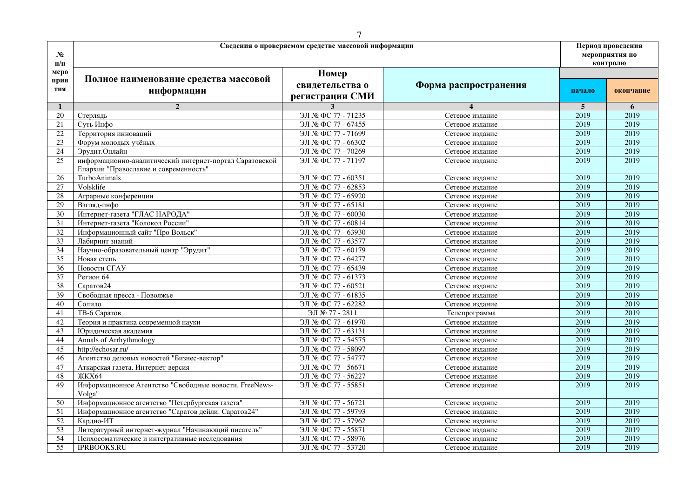| $N_2$<br>$\Pi/\Pi$  |                                                                                                  | Сведения о проверяемом средстве массовой информации |                       |        | Период проведения<br>мероприятия по<br>контролю |
|---------------------|--------------------------------------------------------------------------------------------------|-----------------------------------------------------|-----------------------|--------|-------------------------------------------------|
| меро<br>прия<br>тия | Полное наименование средства массовой<br>информации                                              | Номер<br>свидетельства о<br>регистрации СМИ         | Форма распространения | начало | окончание                                       |
| 1                   | $\overline{2}$                                                                                   | 3                                                   |                       | 5      | 6                                               |
| 20                  | Стерлядь                                                                                         | ЭЛ № ФС 77 - 71235                                  | Сетевое издание       | 2019   | 2019                                            |
| 21                  | Суть Инфо                                                                                        | ЭЛ № ФС 77 - 67455                                  | Сетевое издание       | 2019   | 2019                                            |
| 22                  | Территория инноваций                                                                             | ЭЛ № ФС 77 - 71699                                  | Сетевое издание       | 2019   | 2019                                            |
| $\overline{23}$     | Форум молодых учёных                                                                             | ЭЛ № ФС 77 - 66302                                  | Сетевое издание       | 2019   | 2019                                            |
| $\overline{24}$     | Эрудит. Онлайн                                                                                   | ЭЛ № ФС 77 - 70269                                  | Сетевое издание       | 2019   | 2019                                            |
| 25                  | информационно-аналитический интернет-портал Саратовской<br>Епархии "Православие и современность" | ЭЛ № ФС 77 - 71197                                  | Сетевое издание       | 2019   | 2019                                            |
| 26                  | TurboAnimals                                                                                     | ЭЛ № ФС 77 - 60351                                  | Сетевое издание       | 2019   | 2019                                            |
| 27                  | Volsklife                                                                                        | ЭЛ № ФС 77 - 62853                                  | Сетевое издание       | 2019   | 2019                                            |
| 28                  | Аграрные конференции                                                                             | ЭЛ № ФС 77 - 65920                                  | Сетевое издание       | 2019   | 2019                                            |
| $\overline{29}$     | Взгляд-инфо                                                                                      | ЭЛ № ФС 77 - 65181                                  | Сетевое издание       | 2019   | 2019                                            |
| $\overline{30}$     | Интернет-газета "ГЛАС НАРОДА"                                                                    | ЭЛ № ФС 77 - 60030                                  | Сетевое издание       | 2019   | 2019                                            |
| 31                  | Интернет-газета "Колокол России"                                                                 | ЭЛ № ФС 77 - 60814                                  | Сетевое издание       | 2019   | 2019                                            |
| 32                  | Информационный сайт "Про Вольск"                                                                 | ЭЛ № ФС 77 - 63930                                  | Сетевое издание       | 2019   | 2019                                            |
| 33                  | Лабиринт знаний                                                                                  | ЭЛ № ФС 77 - 63577                                  | Сетевое издание       | 2019   | 2019                                            |
| $\overline{34}$     | Научно-образовательный центр "Эрудит"                                                            | ЭЛ № ФС 77 - 60179                                  | Сетевое издание       | 2019   | 2019                                            |
| 35                  | Новая степь                                                                                      | ЭЛ № ФС 77 - 64277                                  | Сетевое издание       | 2019   | 2019                                            |
| 36                  | Новости СГАУ                                                                                     | ЭЛ № ФС 77 - 65439                                  | Сетевое излание       | 2019   | 2019                                            |
| $\overline{37}$     | Регион 64                                                                                        | ЭЛ № ФС 77 - 61373                                  | Сетевое издание       | 2019   | 2019                                            |
| 38                  | Саратов24                                                                                        | ЭЛ № ФС 77 - 60521                                  | Сетевое издание       | 2019   | 2019                                            |
| 39                  | Свободная пресса - Поволжье                                                                      | ЭЛ № ФС 77 - 61835                                  | Сетевое издание       | 2019   | 2019                                            |
| 40                  | Солило                                                                                           | ЭЛ № ФС 77 - 62282                                  | Сетевое издание       | 2019   | 2019                                            |
| 41                  | ТВ-6 Саратов                                                                                     | ЭЛ № 77 - 2811                                      | Телепрограмма         | 2019   | 2019                                            |
| 42                  | Теория и практика современной науки                                                              | ЭЛ № ФС 77 - 61970                                  | Сетевое издание       | 2019   | 2019                                            |
| 43                  | Юридическая академия                                                                             | ЭЛ № ФС 77 - 63131                                  | Сетевое издание       | 2019   | 2019                                            |
| 44                  | Annals of Arrhythmology                                                                          | ЭЛ № ФС 77 - 54575                                  | Сетевое издание       | 2019   | 2019                                            |
| 45                  | http://echosar.ru/                                                                               | ЭЛ № ФС 77 - 58097                                  | Сетевое издание       | 2019   | 2019                                            |
| $\overline{46}$     | Агентство деловых новостей "Бизнес-вектор"                                                       | ЭЛ № ФС 77 - 54777                                  | Сетевое издание       | 2019   | 2019                                            |
| 47                  | Аткарская газета. Интернет-версия                                                                | ЭЛ № ФС 77 - 56671                                  | Сетевое издание       | 2019   | 2019                                            |
| 48                  | <b>ЖКХ64</b>                                                                                     | ЭЛ № ФС 77 - 56227                                  | Сетевое издание       | 2019   | 2019                                            |
| 49                  | Информационное Агентство "Свободные новости. FreeNews-<br>Volga"                                 | ЭЛ № ФС 77 - 55851                                  | Сетевое издание       | 2019   | 2019                                            |
| 50                  | Информационное агентство "Петербургская газета"                                                  | ЭЛ № ФС 77 - 56721                                  | Сетевое издание       | 2019   | 2019                                            |
| 51                  | Информационное агентство "Саратов дейли. Саратов24"                                              | ЭЛ № ФС 77 - 59793                                  | Сетевое издание       | 2019   | 2019                                            |
| $\overline{52}$     | Кардио-ИТ                                                                                        | ЭЛ № ФС 77 - 57962                                  | Сетевое издание       | 2019   | 2019                                            |
| 53                  | Литературный интернет-журнал "Начинающий писатель"                                               | ЭЛ № ФС 77 - 55871                                  | Сетевое издание       | 2019   | 2019                                            |
| $\overline{54}$     | Психосоматические и интегративные исследования                                                   | ЭЛ № ФС 77 - 58976                                  | Сетевое издание       | 2019   | 2019                                            |
| $\overline{55}$     | <b>IPRBOOKS.RU</b>                                                                               | ЭЛ № ФС 77 - 53720                                  | Сетевое издание       | 2019   | 2019                                            |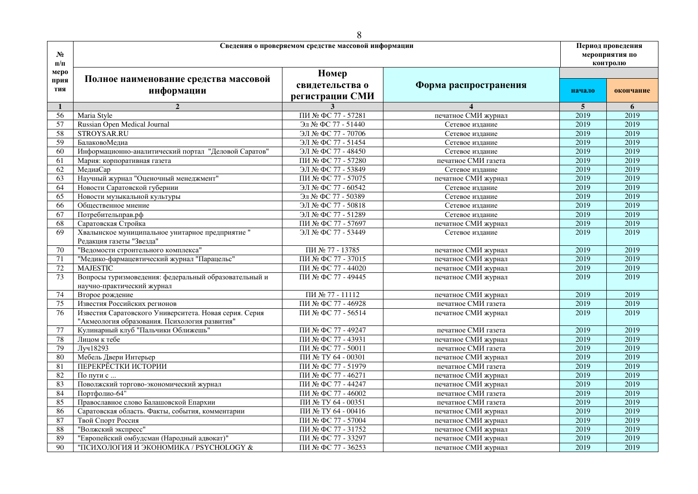|                     |                                                                                                         | 8                                                   |                       |                                                 |           |
|---------------------|---------------------------------------------------------------------------------------------------------|-----------------------------------------------------|-----------------------|-------------------------------------------------|-----------|
| $N_2$<br>$\Pi/\Pi$  |                                                                                                         | Сведения о проверяемом средстве массовой информации |                       | Период проведения<br>мероприятия по<br>контролю |           |
| меро<br>прия<br>тия | Полное наименование средства массовой<br>информации                                                     | Номер<br>свидетельства о<br>регистрации СМИ         | Форма распространения | начало                                          | окончание |
| 1                   | $\overline{2}$                                                                                          | 3                                                   |                       | 5                                               | 6         |
| 56                  | Maria Style                                                                                             | ПИ № ФС 77 - 57281                                  | печатное СМИ журнал   | 2019                                            | 2019      |
| 57                  | Russian Open Medical Journal                                                                            | Эл № ФС 77 - 51440                                  | Сетевое издание       | 2019                                            | 2019      |
| 58                  | STROYSAR.RU                                                                                             | ЭЛ № ФС 77 - 70706                                  | Сетевое издание       | 2019                                            | 2019      |
| 59                  | БалаковоМедиа                                                                                           | ЭЛ № ФС 77 - 51454                                  | Сетевое издание       | 2019                                            | 2019      |
| 60                  | Информационно-аналитический портал "Деловой Саратов"                                                    | ЭЛ № ФС 77 - 48450                                  | Сетевое издание       | 2019                                            | 2019      |
| 61                  | Мария: корпоративная газета                                                                             | ПИ № ФС 77 - 57280                                  | печатное СМИ газета   | 2019                                            | 2019      |
| 62                  | МедиаСар                                                                                                | ЭЛ № ФС 77 - 53849                                  | Сетевое издание       | 2019                                            | 2019      |
| 63                  | Научный журнал "Оценочный менеджмент"                                                                   | ПИ № ФС 77 - 57075                                  | печатное СМИ журнал   | 2019                                            | 2019      |
| 64                  | Новости Саратовской губернии                                                                            | ЭЛ № ФС 77 - 60542                                  | Сетевое издание       | 2019                                            | 2019      |
| 65                  | Новости музыкальной культуры                                                                            | Эл № ФС 77 - 50389                                  | Сетевое издание       | 2019                                            | 2019      |
| 66                  | Общественное мнение                                                                                     | ЭЛ № ФС 77 - 50818                                  | Сетевое издание       | 2019                                            | 2019      |
| 67                  | Потребительправ.рф                                                                                      | ЭЛ № ФС 77 - 51289                                  | Сетевое издание       | 2019                                            | 2019      |
| 68                  | Саратовская Стройка                                                                                     | ПИ № ФС 77 - 57697                                  | печатное СМИ журнал   | 2019                                            | 2019      |
| 69                  | Хвалынское муниципальное унитарное предприятие "<br>Редакция газеты "Звезда"                            | ЭЛ № ФС 77 - 53449                                  | Сетевое издание       | 2019                                            | 2019      |
| 70                  | "Ведомости строительного комплекса"                                                                     | ПИ № 77 - 13785                                     | печатное СМИ журнал   | 2019                                            | 2019      |
| 71                  | "Медико-фармацевтический журнал "Парацельс"                                                             | ПИ № ФС 77 - 37015                                  | печатное СМИ журнал   | 2019                                            | 2019      |
| 72                  | <b>MAJESTIC</b>                                                                                         | ПИ № ФС 77 - 44020                                  | печатное СМИ журнал   | 2019                                            | 2019      |
| 73                  | Вопросы туризмоведения: федеральный образовательный и<br>научно-практический журнал                     | ПИ № ФС 77 - 49445                                  | печатное СМИ журнал   | 2019                                            | 2019      |
| 74                  | Второе рождение                                                                                         | ПИ № 77 - 11112                                     | печатное СМИ журнал   | 2019                                            | 2019      |
| 75                  | Известия Российских регионов                                                                            | ПИ № ФС 77 - 46928                                  | печатное СМИ газета   | 2019                                            | 2019      |
| 76                  | Известия Саратовского Университета. Новая серия. Серия<br>"Акмеология образования. Психология развития" | ПИ № ФС 77 - 56514                                  | печатное СМИ журнал   | 2019                                            | 2019      |
| 77                  | Кулинарный клуб "Пальчики Оближешь"                                                                     | ПИ № ФС 77 - 49247                                  | печатное СМИ газета   | 2019                                            | 2019      |
| 78                  | Лицом к тебе                                                                                            | ПИ № ФС 77 - 43931                                  | печатное СМИ журнал   | 2019                                            | 2019      |
| 79                  | Луч18293                                                                                                | ПИ № ФС 77 - 50011                                  | печатное СМИ газета   | 2019                                            | 2019      |
| 80                  | Мебель Двери Интерьер                                                                                   | ПИ № ТУ 64 - 00301                                  | печатное СМИ журнал   | 2019                                            | 2019      |
| 81                  | ПЕРЕКРЁСТКИ ИСТОРИИ                                                                                     | ПИ № ФС 77 - 51979                                  | печатное СМИ газета   | 2019                                            | 2019      |
| 82                  | По пути с                                                                                               | ПИ № ФС 77 - 46271                                  | печатное СМИ журнал   | 2019                                            | 2019      |
| 83                  | Поволжский торгово-экономический журнал                                                                 | ПИ № ФС 77 - 44247                                  | печатное СМИ журнал   | 2019                                            | 2019      |
| 84                  | Портфолио-64"                                                                                           | ПИ № ФС 77 - 46002                                  | печатное СМИ газета   | 2019                                            | 2019      |
| 85                  | Православное слово Балашовской Епархии                                                                  | ПИ № ТУ 64 - 00351                                  | печатное СМИ газета   | 2019                                            | 2019      |
| 86                  | Саратовская область. Факты, события, комментарии                                                        | ПИ № ТУ 64 - 00416                                  | печатное СМИ журнал   | 2019                                            | 2019      |
| 87                  | Твой Спорт Россия                                                                                       | ПИ № ФС 77 - 57004                                  | печатное СМИ журнал   | 2019                                            | 2019      |
| 88                  | "Волжский экспресс"                                                                                     | ПИ № ФС 77 - 31752                                  | печатное СМИ журнал   | 2019                                            | 2019      |
| 89                  | "Европейский омбудсман (Народный адвокат)"                                                              | ПИ № ФС 77 - 33297                                  | печатное СМИ журнал   | 2019                                            | 2019      |
| 90                  | "ПСИХОЛОГИЯ И ЭКОНОМИКА / PSYCHOLOGY &                                                                  | ПИ № ФС 77 - 36253                                  | печатное СМИ журнал   | 2019                                            | 2019      |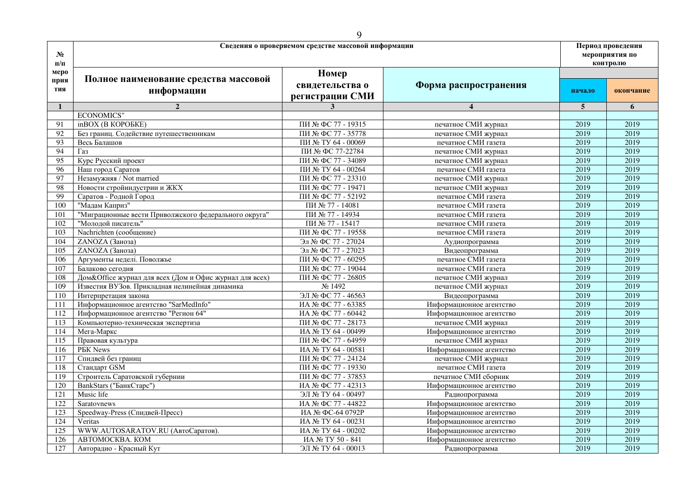| $N_2$<br>$\Pi/\Pi$ | Сведения о проверяемом средстве массовой информации     | Период проведения<br>мероприятия по<br>контролю |                          |                |           |
|--------------------|---------------------------------------------------------|-------------------------------------------------|--------------------------|----------------|-----------|
| меро<br>прия       | Полное наименование средства массовой                   | Номер<br>свидетельства о                        | Форма распространения    |                |           |
| тия                | информации                                              | регистрации СМИ                                 |                          | начало         | окончание |
| $\mathbf{1}$       | $\overline{2}$                                          | $\overline{3}$                                  | $\overline{\mathbf{4}}$  | $\overline{5}$ | 6         |
|                    | <b>ECONOMICS"</b>                                       |                                                 |                          |                |           |
| 91                 | inBOX (B KOPOEKE)                                       | ПИ № ФС 77 - 19315                              | печатное СМИ журнал      | 2019           | 2019      |
| 92                 | Без границ. Содействие путешественникам                 | ПИ № ФС 77 - 35778                              | печатное СМИ журнал      | 2019           | 2019      |
| 93                 | Весь Балашов                                            | ПИ № ТУ 64 - 00069                              | печатное СМИ газета      | 2019           | 2019      |
| 94                 | $\Gamma$ a <sub>3</sub>                                 | ПИ № ФС 77-22784                                | печатное СМИ журнал      | 2019           | 2019      |
| 95                 | Курс Русский проект                                     | ПИ № ФС 77 - 34089                              | печатное СМИ журнал      | 2019           | 2019      |
| 96                 | Наш город Саратов                                       | ПИ № ТУ 64 - 00264                              | печатное СМИ газета      | 2019           | 2019      |
| 97                 | Незамужняя / Not married                                | ПИ № ФС 77 - 23310                              | печатное СМИ журнал      | 2019           | 2019      |
| 98                 | Новости стройиндустрии и ЖКХ                            | ПИ № ФС 77 - 19471                              | печатное СМИ журнал      | 2019           | 2019      |
| 99                 | Саратов - Родной Город                                  | ПИ № ФС 77 - 52192                              | печатное СМИ газета      | 2019           | 2019      |
| 100                | "Мадам Каприз"                                          | ПИ № 77 - 14081                                 | печатное СМИ газета      | 2019           | 2019      |
| 101                | "Миграционные вести Приволжского федерального округа"   | ПИ № 77 - 14934                                 | печатное СМИ газета      | 2019           | 2019      |
| 102                | "Молодой писатель"                                      | ПИ № 77 - 15417                                 | печатное СМИ газета      | 2019           | 2019      |
| 103                | Nachrichten (сообщение)                                 | ПИ № ФС 77 - 19558                              | печатное СМИ газета      | 2019           | 2019      |
| 104                | ZANOZA (Заноза)                                         | Эл № ФС 77 - 27024                              | Аудиопрограмма           | 2019           | 2019      |
| 105                | ZANOZA (Заноза)                                         | Эл № ФС 77 - 27023                              | Видеопрограмма           | 2019           | 2019      |
| 106                | Аргументы неделі. Поволжье                              | ПИ № ФС 77 - 60295                              | печатное СМИ газета      | 2019           | 2019      |
| 107                | Балаково сегодня                                        | ПИ № ФС 77 - 19044                              | печатное СМИ газета      | 2019           | 2019      |
| 108                | Дом&Office журнал для всех (Дом и Офис журнал для всех) | ПИ № ФС 77 - 26805                              | печатное СМИ журнал      | 2019           | 2019      |
| 109                | Известия ВУЗов. Прикладная нелинейная динамика          | No 1492                                         | печатное СМИ журнал      | 2019           | 2019      |
| 110                | Интерпретация закона                                    | ЭЛ № ФС 77 - 46563                              | Видеопрограмма           | 2019           | 2019      |
| 111                | Информационное агентство "SarMedInfo"                   | ИА № ФС 77 - 63385                              | Информационное агентство | 2019           | 2019      |
| 112                | Информационное агентство "Регион 64"                    | ИА № ФС 77 - 60442                              | Информационное агентство | 2019           | 2019      |
| $\overline{113}$   | Компьютерно-техническая экспертиза                      | ПИ № ФС 77 - 28173                              | печатное СМИ журнал      | 2019           | 2019      |
| 114                | Мега-Маркс                                              | ИА № ТУ 64 - 00499                              | Информационное агентство | 2019           | 2019      |
| $\overline{115}$   | Правовая культура                                       | ПИ № ФС 77 - 64959                              | печатное СМИ журнал      | 2019           | 2019      |
| 116                | <b>PEK News</b>                                         | ИА № ТУ 64 - 00581                              | Информационное агентство | 2019           | 2019      |
| 117                | Спидвей без границ                                      | ПИ № ФС 77 - 24124                              | печатное СМИ журнал      | 2019           | 2019      |
| 118                | Стандарт GSM                                            | ПИ № ФС 77 - 19330                              | печатное СМИ газета      | 2019           | 2019      |
| 119                | Строитель Саратовской губернии                          | ПИ № ФС 77 - 37853                              | печатное СМИ сборник     | 2019           | 2019      |
| 120                | BankStars ("БанкСтарс")                                 | ИА № ФС 77 - 42313                              | Информационное агентство | 2019           | 2019      |
| 121                | Music life                                              | ЭЛ № ТУ 64 - 00497                              | Радиопрограмма           | 2019           | 2019      |
| 122                | Saratovnews                                             | ИА № ФС 77 - 44822                              | Информационное агентство | 2019           | 2019      |
| 123                | Speedway-Press (Спидвей-Пресс)                          | ИА № ФС-64 0792Р                                | Информационное агентство | 2019           | 2019      |
| 124                | Veritas                                                 | ИА № ТУ 64 - 00231                              | Информационное агентство | 2019           | 2019      |
| 125                | WWW.AUTOSARATOV.RU (АвтоСаратов).                       | ИА № ТУ 64 - 00202                              | Информационное агентство | 2019           | 2019      |
| 126                | ABTOMOCKBA, KOM                                         | ИА № ТУ 50 - 841                                | Информационное агентство | 2019           | 2019      |
| 127                | Авторадио - Красный Кут                                 | ЭЛ № ТУ 64 - 00013                              | Радиопрограмма           | 2019           | 2019      |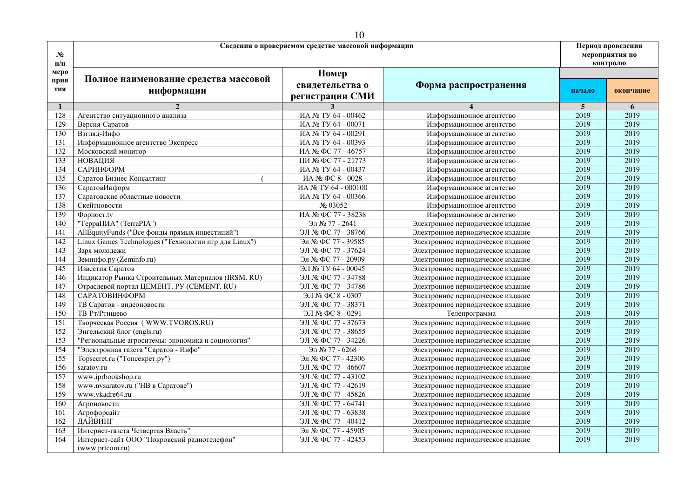|                     |                                                                       | 10                                                  |                                   |        |                                                 |
|---------------------|-----------------------------------------------------------------------|-----------------------------------------------------|-----------------------------------|--------|-------------------------------------------------|
| $N_2$<br>$\Pi/\Pi$  |                                                                       | Сведения о проверяемом средстве массовой информации |                                   |        | Период проведения<br>мероприятия по<br>контролю |
| меро<br>прия<br>тия | Полное наименование средства массовой<br>информации                   | Номер<br>свидетельства о<br>регистрации СМИ         | Форма распространения             | начало | окончание                                       |
| $\mathbf{1}$        | $\overline{2}$                                                        | 3                                                   |                                   | 5      | 6                                               |
| 128                 | Агентство ситуационного анализа                                       | ИА № ТУ 64 - 00462                                  | Информационное агентство          | 2019   | 2019                                            |
| 129                 | Версия-Саратов                                                        | ИА № ТУ 64 - 00071                                  | Информационное агентство          | 2019   | 2019                                            |
| 130                 | Взгляд-Инфо                                                           | ИА № ТУ 64 - 00291                                  | Информационное агентство          | 2019   | 2019                                            |
| 131                 | Информационное агентство Экспресс                                     | ИА № ТУ 64 - 00393                                  | Информационное агентство          | 2019   | 2019                                            |
| 132                 | Московский монитор                                                    | ИА № ФС 77 - 46757                                  | Информационное агентство          | 2019   | 2019                                            |
| 133                 | <b>НОВАЦИЯ</b>                                                        | ПИ № ФС 77 - 21773                                  | Информационное агентство          | 2019   | 2019                                            |
| 134                 | САРИНФОРМ                                                             | ИА № ТУ 64 - 00437                                  | Информационное агентство          | 2019   | 2019                                            |
| 135                 | Саратов Бизнес Консалтинг                                             | ИА № ФС 8 - 0028                                    | Информационное агентство          | 2019   | 2019                                            |
| 136                 | СаратовИнформ                                                         | ИА № ТУ 64 - 000100                                 | Информационное агентство          | 2019   | 2019                                            |
| 137                 | Саратовские областные новости                                         | ИА № ТУ 64 - 00366                                  | Информационное агентство          | 2019   | 2019                                            |
| 138                 | Скейтновости                                                          | № 03052                                             | Информационное агентство          | 2019   | 2019                                            |
| 139                 | $\Phi$ <sub>o</sub> p $\eta$ <sub>oc</sub> $\tau$ <sub>t</sub> $\tau$ | ИА № ФС 77 - 38238                                  | Информационное агентство          | 2019   | 2019                                            |
| 140                 | "ТерраПИА" (TerraPIA")                                                | Эл № 77 - 2641                                      | Электронное периодическое издание | 2019   | 2019                                            |
| 141                 | AllEquityFunds ("Все фонды прямых инвестиций")                        | ЭЛ № ФС 77 - 38766                                  | Электронное периодическое издание | 2019   | 2019                                            |
| 142                 | Linux Games Technologies ("Технологии игр для Linux")                 | Эл № ФС 77 - 39585                                  | Электронное периодическое издание | 2019   | 2019                                            |
| 143                 | Заря молодежи                                                         | ЭЛ № ФС 77 - 37624                                  | Электронное периодическое издание | 2019   | 2019                                            |
| 144                 | Земинфо.ру (Zeminfo.ru)                                               | Эл № ФС 77 - 20909                                  | Электронное периодическое издание | 2019   | 2019                                            |
| 145                 | Известия Саратов                                                      | ЭЛ № ТУ 64 - 00045                                  | Электронное периодическое издание | 2019   | 2019                                            |
| 146                 | Индикатор Рынка Строительных Материалов (IRSM. RU)                    | ЭЛ № ФС 77 - 34788                                  | Электронное периодическое издание | 2019   | 2019                                            |
| 147                 | Отраслевой портал ЦЕМЕНТ. РУ (CEMENT. RU)                             | ЭЛ № ФС 77 - 34786                                  | Электронное периодическое издание | 2019   | 2019                                            |
| 148                 | САРАТОВИНФОРМ                                                         | ЭЛ № ФС 8 - 0307                                    | Электронное периодическое издание | 2019   | 2019                                            |
| 149                 | ТВ Саратов - видеоновости                                             | ЭЛ № ФС 77 - 38371                                  | Электронное периодическое издание | 2019   | 2019                                            |
| 150                 | ТВ-Рт/Ртишево                                                         | ЭЛ № ФС 8 - 0291                                    | Телепрограмма                     | 2019   | 2019                                            |
| 151                 | Творческая Россия (WWW.TVOROS.RU)                                     | ЭЛ № ФС 77 - 37673                                  | Электронное периодическое издание | 2019   | 2019                                            |
| 152                 | Энгельский блог (engls.ru)                                            | ЭЛ № ФС 77 - 38655                                  | Электронное периодическое издание | 2019   | 2019                                            |
| 153                 | "Региональные агроситемы: экономика и социология"                     | ЭЛ № ФС 77 - 34226                                  | Электронное периодическое издание | 2019   | 2019                                            |
| 154                 | "Электронная газета "Саратов - Инфо"                                  | Эл № 77 - 6268                                      | Электронное периодическое издание | 2019   | 2019                                            |
| 155                 | Topsecret.ru ("Топсекрет.ру")                                         | Эл № ФС 77 - 42306                                  | Электронное периодическое издание | 2019   | 2019                                            |
| 156                 | saratov.ru                                                            | ЭЛ № ФС 77 - 46607                                  | Электронное периодическое издание | 2019   | 2019                                            |
| 157                 | www.iprbookshop.ru                                                    | ЭЛ № ФС 77 - 43102                                  | Электронное периодическое издание | 2019   | 2019                                            |
| 158                 | www.nvsaratov.ru ("HB в Саратове")                                    | ЭЛ № ФС 77 - 42619                                  | Электронное периодическое издание | 2019   | 2019                                            |
| 159                 | www.vkadre64.ru                                                       | ЭЛ № ФС 77 - 45826                                  | Электронное периодическое издание | 2019   | 2019                                            |
| 160                 | Агроновости                                                           | ЭЛ № ФС 77 - 64741                                  | Электронное периодическое издание | 2019   | 2019                                            |
| 161                 | Агрофорсайт                                                           | ЭЛ № ФС 77 - 63838                                  | Электронное периодическое издание | 2019   | 2019                                            |
| 162                 | ДАЙВИНГ                                                               | ЭЛ № ФС 77 - 40412                                  | Электронное периодическое издание | 2019   | 2019                                            |
| 163                 | Интернет-газета Четвертая Власть"                                     | Эл № ФС 77 - 45905                                  | Электронное периодическое издание | 2019   | 2019                                            |
| 164                 | Интернет-сайт ООО "Покровский радиотелефон"<br>(www.prtcom.ru)        | ЭЛ № ФС 77 - 42453                                  | Электронное периодическое издание | 2019   | 2019                                            |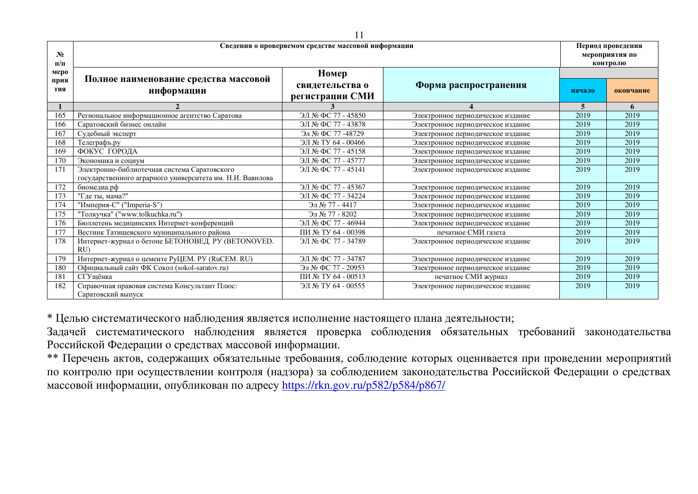| $N_2$<br>$\Pi/\Pi$ | Сведения о проверяемом средстве массовой информации                 |                                    | Период проведения<br>мероприятия по<br>контролю |        |           |
|--------------------|---------------------------------------------------------------------|------------------------------------|-------------------------------------------------|--------|-----------|
| меро<br>прия       | Полное наименование средства массовой                               | Номер                              |                                                 |        |           |
| тия                | информации                                                          | свидетельства о<br>регистрации СМИ | Форма распространения                           | начало | окончание |
|                    |                                                                     |                                    |                                                 | 5      | 6         |
| 165                | Региональное информационное агентство Саратова                      | ЭЛ № ФС 77 - 45850                 | Электронное периодическое издание               | 2019   | 2019      |
| 166                | Саратовский бизнес онлайн                                           | ЭЛ № ФС 77 - 43878                 | Электронное периодическое издание               | 2019   | 2019      |
| 167                | Судебный эксперт                                                    | Эл № ФС 77 -48729                  | Электронное периодическое издание               | 2019   | 2019      |
| 168                | Телеграфъ.ру                                                        | ЭЛ № ТУ 64 - 00466                 | Электронное периодическое издание               | 2019   | 2019      |
| 169                | ФОКУС ГОРОДА                                                        | ЭЛ № ФС 77 - 45158                 | Электронное периодическое издание               | 2019   | 2019      |
| 170                | Экономика и социум                                                  | ЭЛ № ФС 77 - 45777                 | Электронное периодическое издание               | 2019   | 2019      |
| 171                | Электронно-библиотечная система Саратовского                        | ЭЛ № ФС 77 - 45141                 | Электронное периодическое издание               | 2019   | 2019      |
|                    | государственного аграрного университета им. Н.И. Вавилова           |                                    |                                                 |        |           |
| 172                | биомедиа.рф                                                         | ЭЛ № ФС 77 - 45367                 | Электронное периодическое издание               | 2019   | 2019      |
| 173                | "Где ты, мама?"                                                     | ЭЛ № ФС 77 - 34224                 | Электронное периодическое издание               | 2019   | 2019      |
| 174                | "Империя-С" ("Imperia-S")                                           | Эл № 77 - 4417                     | Электронное периодическое издание               | 2019   | 2019      |
| 175                | "Толкучка" ("www.tolkuchka.ru")                                     | Эл № 77 - 8202                     | Электронное периодическое издание               | 2019   | 2019      |
| 176                | Бюллетень медицинских Интернет-конференций                          | ЭЛ № ФС 77 - 46944                 | Электронное периодическое издание               | 2019   | 2019      |
| 177                | Вестник Татищевского муниципального района                          | ПИ № ТУ 64 - 00398                 | печатное СМИ газета                             | 2019   | 2019      |
| 178                | Интернет-журнал о бетоне БЕТОНОВЕД. РУ (BETONOVED.<br>RU            | ЭЛ № ФС 77 - 34789                 | Электронное периодическое издание               | 2019   | 2019      |
| 179                | Интернет-журнал о цементе РуЦЕМ. РУ (RuCEM. RU)                     | ЭЛ № ФС 77 - 34787                 | Электронное периодическое издание               | 2019   | 2019      |
| 180                | Официальный сайт ФК Сокол (sokol-saratov.ru)                        | Эл № ФС 77 - 20953                 | Электронное периодическое издание               | 2019   | 2019      |
| 181                | СГУшёнка                                                            | ПИ № ТУ 64 - 00513                 | печатное СМИ журнал                             | 2019   | 2019      |
| 182                | Справочная правовая система Консультант Плюс:<br>Саратовский выпуск | ЭЛ № ТУ 64 - 00555                 | Электронное периодическое издание               | 2019   | 2019      |

\* Целью систематического наблюдения является исполнение настоящего плана деятельности;

Задачей систематического наблюдения является проверка соблюдения обязательных требований законодательства Российской Федерации о средствах массовой информации.

\*\* Перечень актов, содержащих обязательные требования, соблюдение которых оценивается при проведении мероприятий по контролю при осуществлении контроля (надзора) за соблюдением законодательства Российской Федерации о средствах массовой информации, опубликован по адресу <https://rkn.gov.ru/p582/p584/p867/>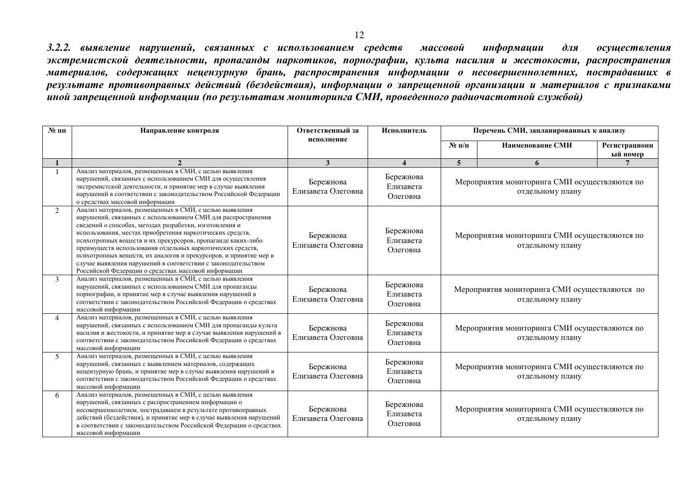3.2.2. выявление нарушений, связанных с использованием средств массовой информации для осуществления экстремистской деятельности, пропаганды наркотиков, порнографии, культа насилия и жестокости, распространения материалов, содержащих нецензурную брань, распространения информации о несовершеннолетних, пострадавших в результате противоправных действий (бездействия), информации о запрещенной организации и материалов с признаками иной запрещенной информации (по результатам мониторинга СМИ, проведенного радиочастотной службой)

| $N$ 2 пп       | Направление контроля                                                                                                                                                                                                                                                                                                                                                                                                                                                                                                                                                         | Ответственный за<br>исполнение  | Исполнитель                        | Перечень СМИ, запланированных к анализу                           |                                                                   |                           |
|----------------|------------------------------------------------------------------------------------------------------------------------------------------------------------------------------------------------------------------------------------------------------------------------------------------------------------------------------------------------------------------------------------------------------------------------------------------------------------------------------------------------------------------------------------------------------------------------------|---------------------------------|------------------------------------|-------------------------------------------------------------------|-------------------------------------------------------------------|---------------------------|
|                |                                                                                                                                                                                                                                                                                                                                                                                                                                                                                                                                                                              |                                 |                                    | $\mathbf{N}$ е п/п                                                | Наименование СМИ                                                  | Регистрационн<br>ый номер |
|                |                                                                                                                                                                                                                                                                                                                                                                                                                                                                                                                                                                              | 3                               | $\overline{\mathbf{4}}$            | 5                                                                 | 6                                                                 |                           |
|                | Анализ материалов, размещенных в СМИ, с целью выявления<br>нарушений, связанных с использованием СМИ для осуществления<br>экстремистской деятельности, и принятие мер в случае выявления<br>нарушений в соответствии с законодательством Российской Федерации<br>о средствах массовой информации                                                                                                                                                                                                                                                                             | Бережнова<br>Елизавета Олеговна | Бережнова<br>Елизавета<br>Олеговна | Мероприятия мониторинга СМИ осуществляются по<br>отдельному плану |                                                                   |                           |
| $\overline{2}$ | Анализ материалов, размещенных в СМИ, с целью выявления<br>нарушений, связанных с использованием СМИ для распространения<br>сведений о способах, методах разработки, изготовления и<br>использования, местах приобретения наркотических средств,<br>психотропных веществ и их прекурсоров, пропаганде каких-либо<br>преимуществ использования отдельных наркотических средств,<br>психотропных веществ, их аналогов и прекурсоров, и принятие мер в<br>случае выявления нарушений в соответствии с законодательством<br>Российской Федерации о средствах массовой информации | Бережнова<br>Елизавета Олеговна | Бережнова<br>Елизавета<br>Олеговна |                                                                   | Мероприятия мониторинга СМИ осуществляются по<br>отдельному плану |                           |
| $\mathcal{E}$  | Анализ материалов, размещенных в СМИ, с целью выявления<br>нарушений, связанных с использованием СМИ для пропаганды<br>порнографии, и принятие мер в случае выявления нарушений в<br>соответствии с законодательством Российской Федерации о средствах<br>массовой информации                                                                                                                                                                                                                                                                                                | Бережнова<br>Елизавета Олеговна | Бережнова<br>Елизавета<br>Олеговна | Мероприятия мониторинга СМИ осуществляются по<br>отдельному плану |                                                                   |                           |
| $\overline{4}$ | Анализ материалов, размещенных в СМИ, с целью выявления<br>нарушений, связанных с использованием СМИ для пропаганды культа<br>насилия и жестокости, и принятие мер в случае выявления нарушений в<br>соответствии с законодательством Российской Федерации о средствах<br>массовой информации                                                                                                                                                                                                                                                                                | Бережнова<br>Елизавета Олеговна | Бережнова<br>Елизавета<br>Олеговна |                                                                   | Мероприятия мониторинга СМИ осуществляются по<br>отдельному плану |                           |
| $\mathcal{F}$  | Анализ материалов, размещенных в СМИ, с целью выявления<br>нарушений, связанных с выявлением материалов, содержащих<br>нецензурную брань, и принятие мер в случае выявления нарушений в<br>соответствии с законодательством Российской Федерации о средствах<br>массовой информации                                                                                                                                                                                                                                                                                          | Бережнова<br>Елизавета Олеговна | Бережнова<br>Елизавета<br>Олеговна |                                                                   | Мероприятия мониторинга СМИ осуществляются по<br>отдельному плану |                           |
| 6              | Анализ материалов, размещенных в СМИ, с целью выявления<br>нарушений, связанных с распространением информации о<br>несовершеннолетнем, пострадавшем в результате противоправных<br>действий (бездействия), и принятие мер в случае выявления нарушений<br>в соответствии с законодательством Российской Федерации о средствах<br>массовой информации                                                                                                                                                                                                                         | Бережнова<br>Елизавета Олеговна | Бережнова<br>Елизавета<br>Олеговна |                                                                   | Мероприятия мониторинга СМИ осуществляются по<br>отдельному плану |                           |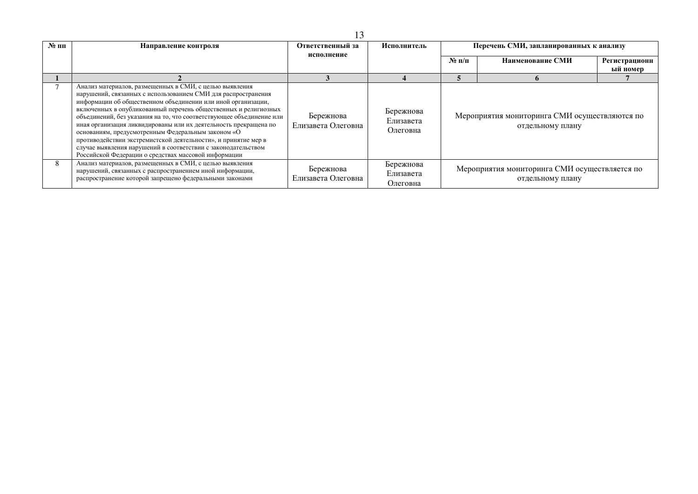| $\mathbf{N}$ е пп | Направление контроля                                                                                                                                                                                                                                                                                                                                                                                                                                                                                                                                                                                                                                     | Ответственный за<br>исполнение  | Исполнитель                        | Перечень СМИ, запланированных к анализу |                                                                   |                           |
|-------------------|----------------------------------------------------------------------------------------------------------------------------------------------------------------------------------------------------------------------------------------------------------------------------------------------------------------------------------------------------------------------------------------------------------------------------------------------------------------------------------------------------------------------------------------------------------------------------------------------------------------------------------------------------------|---------------------------------|------------------------------------|-----------------------------------------|-------------------------------------------------------------------|---------------------------|
|                   |                                                                                                                                                                                                                                                                                                                                                                                                                                                                                                                                                                                                                                                          |                                 |                                    | $N$ ° п/п                               | Наименование СМИ                                                  | Регистрационн<br>ый номер |
|                   |                                                                                                                                                                                                                                                                                                                                                                                                                                                                                                                                                                                                                                                          |                                 |                                    |                                         |                                                                   |                           |
|                   | Анализ материалов, размещенных в СМИ, с целью выявления<br>нарушений, связанных с использованием СМИ для распространения<br>информации об общественном объединении или иной организации,<br>включенных в опубликованный перечень общественных и религиозных<br>объединений, без указания на то, что соответствующее объединение или<br>иная организация ликвидированы или их деятельность прекращена по<br>основаниям, предусмотренным Федеральным законом «О<br>противодействии экстремистской деятельности», и принятие мер в<br>случае выявления нарушений в соответствии с законодательством<br>Российской Федерации о средствах массовой информации | Бережнова<br>Елизавета Олеговна | Бережнова<br>Елизавета<br>Олеговна |                                         | Мероприятия мониторинга СМИ осуществляются по<br>отдельному плану |                           |
| 8                 | Анализ материалов, размещенных в СМИ, с целью выявления<br>нарушений, связанных с распространением иной информации,<br>распространение которой запрещено федеральными законами                                                                                                                                                                                                                                                                                                                                                                                                                                                                           | Бережнова<br>Елизавета Олеговна | Бережнова<br>Елизавета<br>Олеговна |                                         | Мероприятия мониторинга СМИ осуществляется по<br>отдельному плану |                           |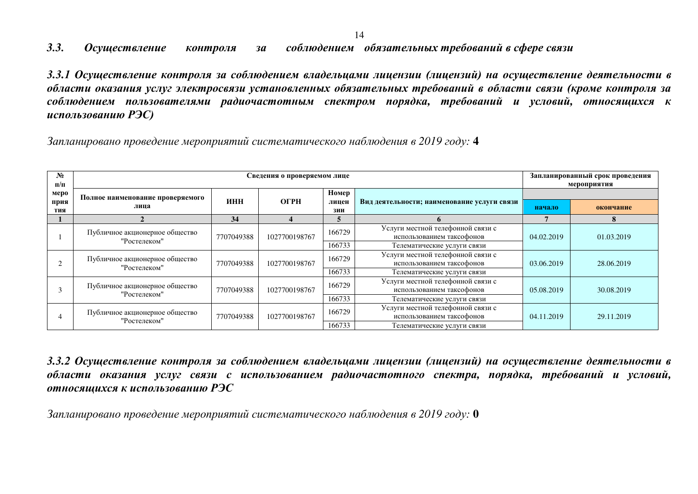#### 3.3. Осуществление контроля за соблюдением обязательных требований в сфере связи

3.3.1 Осуществление контроля за соблюдением владельцами лицензии (лицензий) на осуществление деятельности в области оказания услуг электросвязи установленных обязательных требований в области связи (кроме контроля за соблюдением пользователями радиочастотным спектром порядка, требований и условий, относящихся к ucnoльзованию PЭC)

 $3$ апланировано проведение мероприятий систематического наблюдения в 2019 году: 4

| $N_2$<br>$\Pi/\Pi$ |                                                |            | Сведения о проверяемом лице |                |                                             | Запланированный срок проведения<br>мероприятия |            |  |
|--------------------|------------------------------------------------|------------|-----------------------------|----------------|---------------------------------------------|------------------------------------------------|------------|--|
| меро<br>прия       | Полное наименование проверяемого               | ИНН        | ОГРН                        | Номер<br>лицен | Вид деятельности; наименование услуги связи |                                                |            |  |
| тия                | лица                                           |            |                             | зии            |                                             | начало                                         | окончание  |  |
|                    |                                                | 34         |                             |                |                                             |                                                |            |  |
|                    | Публичное акционерное общество                 |            |                             | 166729         | Услуги местной телефонной связи с           |                                                | 01.03.2019 |  |
|                    | "Ростелеком"                                   | 7707049388 | 1027700198767               |                | использованием таксофонов                   | 04.02.2019                                     |            |  |
|                    |                                                |            |                             | 166733         | Телематические услуги связи                 |                                                |            |  |
|                    |                                                |            | 1027700198767               | 166729         | Услуги местной телефонной связи с           |                                                | 28.06.2019 |  |
|                    | Публичное акционерное общество<br>"Ростелеком" | 7707049388 |                             |                | использованием таксофонов                   | 03.06.2019                                     |            |  |
|                    |                                                |            |                             | 166733         | Телематические услуги связи                 |                                                |            |  |
|                    |                                                |            |                             | 166729         | Услуги местной телефонной связи с           |                                                |            |  |
|                    | Публичное акционерное общество<br>"Ростелеком" | 7707049388 | 1027700198767               |                | использованием таксофонов                   | 05.08.2019                                     | 30.08.2019 |  |
|                    |                                                |            |                             | 166733         | Телематические услуги связи                 |                                                |            |  |
|                    |                                                |            |                             | 166729         | Услуги местной телефонной связи с           |                                                |            |  |
|                    | Публичное акционерное общество<br>"Ростелеком" | 7707049388 | 1027700198767               |                | использованием таксофонов                   | 04.11.2019                                     | 29.11.2019 |  |
|                    |                                                |            |                             | 166733         | Телематические услуги связи                 |                                                |            |  |

3.3.2 Осуществление контроля за соблюдением владельцами лицензии (лицензий) на осуществление деятельности в области оказания услуг связи с использованием радиочастотного спектра, порядка, требований и условий,  $\boldsymbol{\theta}$  *использованию РЭС* 

Запланировано проведение мероприятий систематического наблюдения в 2019 году: 0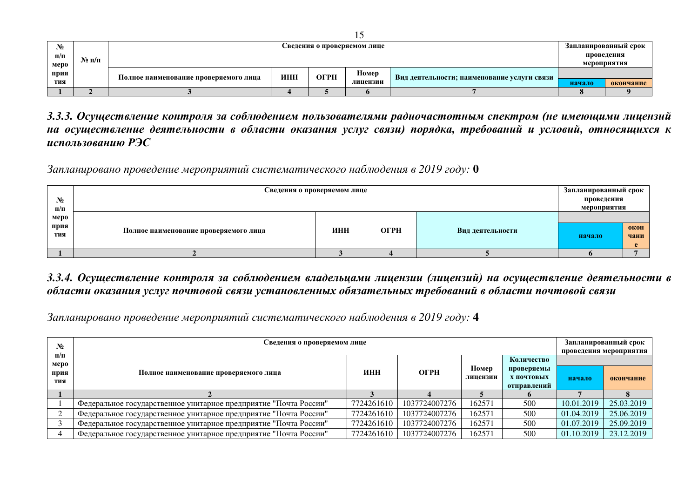| $N_2$     |       |                                       |             | Запланированный срок |          |                                             |        |           |  |
|-----------|-------|---------------------------------------|-------------|----------------------|----------|---------------------------------------------|--------|-----------|--|
| $\Pi/\Pi$ | № п/п |                                       |             |                      |          |                                             |        |           |  |
| меро      |       |                                       | мероприятия |                      |          |                                             |        |           |  |
| прия      |       | Полное наименование проверяемого лица | ИНН         | $O$ $P$ H            | Номер    | Вид деятельности; наименование услуги связи |        |           |  |
| тия       |       |                                       |             |                      | лицензии |                                             | начало | окончание |  |
|           |       |                                       |             |                      |          |                                             |        |           |  |

3.3.3. Осуществление контроля за соблюдением пользователями радиочастотным спектром (не имеющими лицензий на осуществление деятельности в области оказания услуг связи) порядка, требований и условий, относящихся к ucnon<sub>b</sub>3oванию P<sub>3</sub>C

Запланировано проведение мероприятий систематического наблюдения в 2019 году: 0

| $N_2$<br>$\Pi/\Pi$  | Сведения о проверяемом лице           |     |             |                  | Запланированный срок<br>проведения<br>мероприятия |              |
|---------------------|---------------------------------------|-----|-------------|------------------|---------------------------------------------------|--------------|
| меро<br>прия<br>тия | Полное наименование проверяемого лица | ИНН | $O$ $P$ $H$ | Вид деятельности | начало                                            | окон<br>чани |
|                     |                                       |     |             |                  |                                                   |              |

#### 3.3.4. Осуществление контроля за соблюдением владельцами лицензии (лицензий) на осуществление деятельности в  $\bm{\delta}$ бласти оказания услуг почтовой связи установленных обязательных требований в области почтовой связи

Запланировано проведение мероприятий систематического наблюдения в 2019 году: 4

| $N_2$                           | Сведения о проверяемом лице                                      |            |               |                   |                          |            | Запланированный срок<br>проведения мероприятия |
|---------------------------------|------------------------------------------------------------------|------------|---------------|-------------------|--------------------------|------------|------------------------------------------------|
| $\mathbf{n}/\mathbf{n}$<br>меро |                                                                  |            |               |                   | Количество               |            |                                                |
| прия                            | Полное наименование проверяемого лица                            | ИНН        | ОГРН          | Номер<br>лицензии | проверяемы<br>Х ПОЧТОВЫХ |            |                                                |
| тия                             |                                                                  |            |               |                   | отправлений              | начало     | окончание                                      |
|                                 |                                                                  |            |               |                   |                          |            |                                                |
|                                 | Федеральное государственное унитарное предприятие "Почта России" | 7724261610 | 1037724007276 | 162571            | 500                      | 10.01.2019 | 25.03.2019                                     |
|                                 | Федеральное государственное унитарное предприятие "Почта России" | 7724261610 | 1037724007276 | 162571            | 500                      | 01.04.2019 | 25.06.2019                                     |
|                                 | Федеральное государственное унитарное предприятие "Почта России" | 7724261610 | 1037724007276 | 162571            | 500                      | 01.07.2019 | 25.09.2019                                     |
|                                 | Федеральное государственное унитарное предприятие "Почта России" | 7724261610 | 1037724007276 | 162571            | 500                      | 01.10.2019 | 23.12.2019                                     |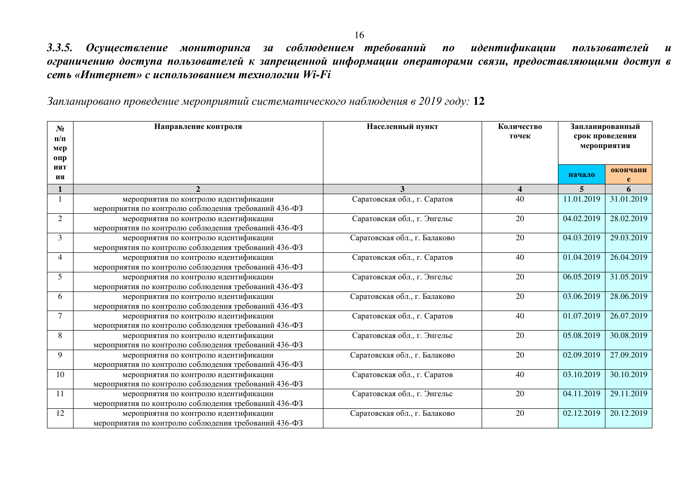3.3.5. Осуществление мониторинга за соблюдением требований по идентификации пользователей и ограничению доступа пользователей к запрещенной информации операторами связи, предоставляющими доступ в  $c$ еть «Интернет» с использованием технологии Wi-Fi

Запланировано проведение мероприятий систематического наблюдения в 2019 году: 12

| $N_2$<br>$\Pi/\Pi$<br>мер<br>0 <sub>II</sub> | Направление контроля                                                                          | Населенный пункт              | Количество<br>точек     | Запланированный<br>срок проведения<br>мероприятия |            |  |
|----------------------------------------------|-----------------------------------------------------------------------------------------------|-------------------------------|-------------------------|---------------------------------------------------|------------|--|
| ият<br>ия                                    |                                                                                               |                               |                         | начало                                            | окончани   |  |
|                                              | $\mathfrak{D}$                                                                                | 3                             | $\overline{\mathbf{4}}$ | 5                                                 | 6          |  |
|                                              | мероприятия по контролю идентификации<br>мероприятия по контролю соблюдения требований 436-ФЗ | Саратовская обл., г. Саратов  | 40                      | 11.01.2019                                        | 31.01.2019 |  |
| $\overline{2}$                               | мероприятия по контролю идентификации<br>мероприятия по контролю соблюдения требований 436-ФЗ | Саратовская обл., г. Энгельс  | 20                      | 04.02.2019                                        | 28.02.2019 |  |
| $\overline{3}$                               | мероприятия по контролю идентификации<br>мероприятия по контролю соблюдения требований 436-ФЗ | Саратовская обл., г. Балаково | 20                      | 04.03.2019                                        | 29.03.2019 |  |
| $\overline{4}$                               | мероприятия по контролю идентификации<br>мероприятия по контролю соблюдения требований 436-ФЗ | Саратовская обл., г. Саратов  | 40                      | 01.04.2019                                        | 26.04.2019 |  |
| 5                                            | мероприятия по контролю идентификации<br>мероприятия по контролю соблюдения требований 436-ФЗ | Саратовская обл., г. Энгельс  | 20                      | 06.05.2019                                        | 31.05.2019 |  |
| 6                                            | мероприятия по контролю идентификации<br>мероприятия по контролю соблюдения требований 436-ФЗ | Саратовская обл., г. Балаково | 20                      | 03.06.2019                                        | 28.06.2019 |  |
| $\overline{7}$                               | мероприятия по контролю идентификации<br>мероприятия по контролю соблюдения требований 436-ФЗ | Саратовская обл., г. Саратов  | 40                      | 01.07.2019                                        | 26.07.2019 |  |
| 8                                            | мероприятия по контролю идентификации<br>мероприятия по контролю соблюдения требований 436-ФЗ | Саратовская обл., г. Энгельс  | 20                      | 05.08.2019                                        | 30.08.2019 |  |
| 9                                            | мероприятия по контролю идентификации<br>мероприятия по контролю соблюдения требований 436-ФЗ | Саратовская обл., г. Балаково | 20                      | 02.09.2019                                        | 27.09.2019 |  |
| 10                                           | мероприятия по контролю идентификации<br>мероприятия по контролю соблюдения требований 436-ФЗ | Саратовская обл., г. Саратов  | 40                      | 03.10.2019                                        | 30.10.2019 |  |
| 11                                           | мероприятия по контролю идентификации<br>мероприятия по контролю соблюдения требований 436-ФЗ | Саратовская обл., г. Энгельс  | 20                      | 04.11.2019                                        | 29.11.2019 |  |
| 12                                           | мероприятия по контролю идентификации<br>мероприятия по контролю соблюдения требований 436-ФЗ | Саратовская обл., г. Балаково | 20                      | 02.12.2019                                        | 20.12.2019 |  |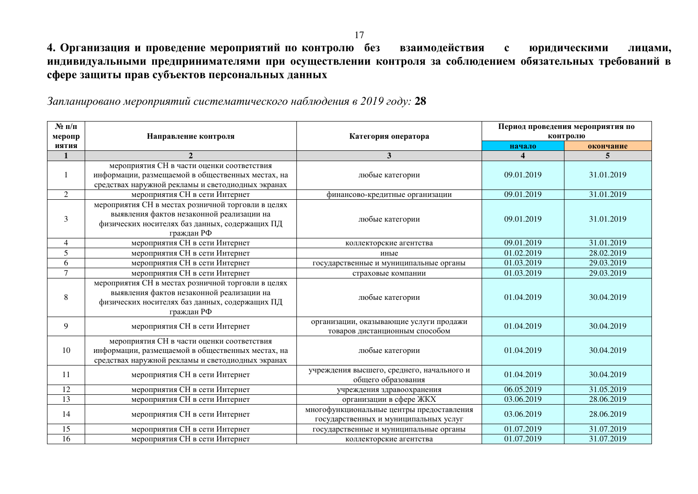4. Организация и проведение мероприятий по контролю без взаимодействия с юридическими лицами, индивидуальными предпринимателями при осуществлении контроля за соблюдением обязательных требований в сфере защиты прав субъектов персональных данных

Запланировано мероприятий систематического наблюдения в 2019 году: 28

| $N$ 2 п/п      |                                                                                                                                                                 |                                                                                    |             | Период проведения мероприятия по |
|----------------|-----------------------------------------------------------------------------------------------------------------------------------------------------------------|------------------------------------------------------------------------------------|-------------|----------------------------------|
| меропр         | Направление контроля                                                                                                                                            | Категория оператора                                                                |             | контролю                         |
| <b>ИЯТИЯ</b>   |                                                                                                                                                                 |                                                                                    | начало<br>Δ | окончание                        |
| $\mathbf{1}$   | мероприятия СН в части оценки соответствия                                                                                                                      | 3                                                                                  |             | 5                                |
|                | информации, размещаемой в общественных местах, на                                                                                                               | любые категории                                                                    | 09.01.2019  | 31.01.2019                       |
|                | средствах наружной рекламы и светодиодных экранах                                                                                                               |                                                                                    |             |                                  |
| $\overline{2}$ | мероприятия СН в сети Интернет                                                                                                                                  | финансово-кредитные организации                                                    | 09.01.2019  | 31.01.2019                       |
|                | мероприятия СН в местах розничной торговли в целях                                                                                                              |                                                                                    |             |                                  |
|                | выявления фактов незаконной реализации на                                                                                                                       |                                                                                    |             |                                  |
| 3              | физических носителях баз данных, содержащих ПД                                                                                                                  | любые категории                                                                    | 09.01.2019  | 31.01.2019                       |
|                | граждан РФ                                                                                                                                                      |                                                                                    |             |                                  |
| 4              | мероприятия СН в сети Интернет                                                                                                                                  | коллекторские агентства                                                            | 09.01.2019  | 31.01.2019                       |
| $\overline{5}$ | мероприятия СН в сети Интернет                                                                                                                                  | иные                                                                               | 01.02.2019  | 28.02.2019                       |
| 6              | мероприятия СН в сети Интернет                                                                                                                                  | государственные и муниципальные органы                                             | 01.03.2019  | 29.03.2019                       |
| $\overline{7}$ | мероприятия СН в сети Интернет                                                                                                                                  | страховые компании                                                                 | 01.03.2019  | 29.03.2019                       |
| $\,8\,$        | мероприятия СН в местах розничной торговли в целях<br>выявления фактов незаконной реализации на<br>физических носителях баз данных, содержащих ПД<br>граждан РФ | любые категории                                                                    | 01.04.2019  | 30.04.2019                       |
| 9              | мероприятия СН в сети Интернет                                                                                                                                  | организации, оказывающие услуги продажи<br>товаров дистанционным способом          | 01.04.2019  | 30.04.2019                       |
| 10             | мероприятия СН в части оценки соответствия<br>информации, размещаемой в общественных местах, на<br>средствах наружной рекламы и светодиодных экранах            | любые категории                                                                    | 01.04.2019  | 30.04.2019                       |
| 11             | мероприятия СН в сети Интернет                                                                                                                                  | учреждения высшего, среднего, начального и<br>общего образования                   | 01.04.2019  | 30.04.2019                       |
| 12             | мероприятия СН в сети Интернет                                                                                                                                  | учреждения здравоохранения                                                         | 06.05.2019  | 31.05.2019                       |
| 13             | мероприятия СН в сети Интернет                                                                                                                                  | организации в сфере ЖКХ                                                            | 03.06.2019  | 28.06.2019                       |
| 14             | мероприятия СН в сети Интернет                                                                                                                                  | многофункциональные центры предоставления<br>государственных и муниципальных услуг | 03.06.2019  | 28.06.2019                       |
| 15             | мероприятия СН в сети Интернет                                                                                                                                  | государственные и муниципальные органы                                             | 01.07.2019  | 31.07.2019                       |
| 16             | мероприятия СН в сети Интернет                                                                                                                                  | коллекторские агентства                                                            | 01.07.2019  | 31.07.2019                       |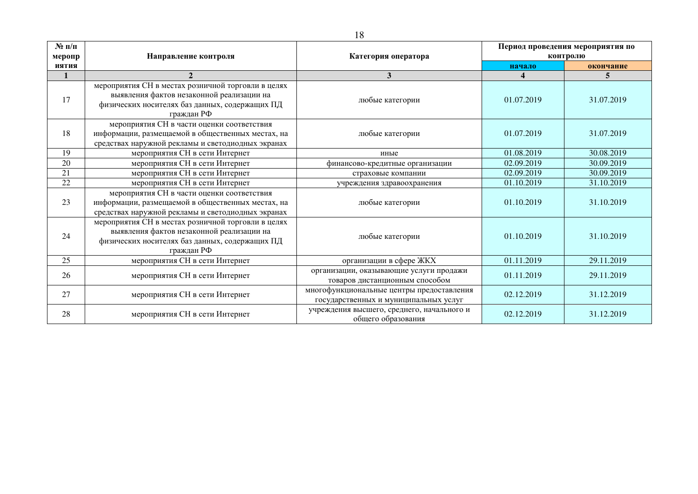| $N$ 2 п/п    |                                                                                                                                                                 |                                                                                    |            | Период проведения мероприятия по |
|--------------|-----------------------------------------------------------------------------------------------------------------------------------------------------------------|------------------------------------------------------------------------------------|------------|----------------------------------|
| меропр       | Направление контроля                                                                                                                                            | Категория оператора                                                                |            | контролю                         |
| <b>ИЯТИЯ</b> |                                                                                                                                                                 |                                                                                    | начало     | окончание                        |
| 1            |                                                                                                                                                                 | $\mathbf{3}$                                                                       | 4          | 5.                               |
| 17           | мероприятия СН в местах розничной торговли в целях<br>выявления фактов незаконной реализации на<br>физических носителях баз данных, содержащих ПД<br>граждан РФ | любые категории                                                                    | 01.07.2019 | 31.07.2019                       |
| 18           | мероприятия СН в части оценки соответствия<br>информации, размещаемой в общественных местах, на<br>средствах наружной рекламы и светодиодных экранах            | любые категории                                                                    | 01.07.2019 | 31.07.2019                       |
| 19           | мероприятия СН в сети Интернет                                                                                                                                  | иные                                                                               | 01.08.2019 | 30.08.2019                       |
| 20           | мероприятия СН в сети Интернет                                                                                                                                  | финансово-кредитные организации                                                    | 02.09.2019 | 30.09.2019                       |
| 21           | мероприятия СН в сети Интернет                                                                                                                                  | страховые компании                                                                 | 02.09.2019 | 30.09.2019                       |
| 22           | мероприятия СН в сети Интернет                                                                                                                                  | учреждения здравоохранения                                                         | 01.10.2019 | 31.10.2019                       |
| 23           | мероприятия СН в части оценки соответствия<br>информации, размещаемой в общественных местах, на<br>средствах наружной рекламы и светодиодных экранах            | любые категории                                                                    | 01.10.2019 | 31.10.2019                       |
| 24           | мероприятия СН в местах розничной торговли в целях<br>выявления фактов незаконной реализации на<br>физических носителях баз данных, содержащих ПД<br>граждан РФ | любые категории                                                                    | 01.10.2019 | 31.10.2019                       |
| 25           | мероприятия СН в сети Интернет                                                                                                                                  | организации в сфере ЖКХ                                                            | 01.11.2019 | 29.11.2019                       |
| 26           | организации, оказывающие услуги продажи<br>мероприятия СН в сети Интернет<br>товаров дистанционным способом                                                     |                                                                                    | 01.11.2019 | 29.11.2019                       |
| 27           | мероприятия СН в сети Интернет                                                                                                                                  | многофункциональные центры предоставления<br>государственных и муниципальных услуг | 02.12.2019 | 31.12.2019                       |
| 28           | мероприятия СН в сети Интернет                                                                                                                                  | учреждения высшего, среднего, начального и<br>общего образования                   | 02.12.2019 | 31.12.2019                       |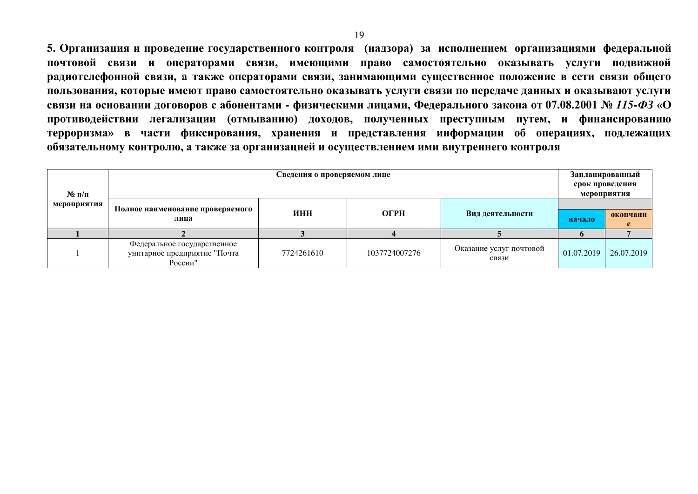5. Организация и проведение государственного контроля (надзора) за исполнением организациями федеральной ПОЧТОВОЙ СВЯЗИ И ОПЕРАТОРАМИ СВЯЗИ, ИМЕЮЩИМИ ПРАВО САМОСТОЯТЕЛЬНО ОКАЗЫВАТЬ УСЛУГИ ПОДВИЖНОЙ радиотелефонной связи, а также операторами связи, занимающими существенное положение в сети связи общего пользования, которые имеют право самостоятельно оказывать услуги связи по передаче данных и оказывают услуги **связи на основании договоров с абонентами - физическими лицами, Федерального закона от 07.08.2001 № 115-ФЗ «О** противодействии легализации (отмыванию) доходов, полученных преступным путем, и финансированию терроризма» в части фиксирования, хранения и представления информации об операциях, подлежащих **обязательному контролю, а также за организацией и осуществлением ими внутреннего контроля** 

| $\mathbf{N}$ о п/п |                                                                        | Сведения о проверяемом лице |               |                                  |            | Запланированный<br>срок проведения<br>мероприятия |
|--------------------|------------------------------------------------------------------------|-----------------------------|---------------|----------------------------------|------------|---------------------------------------------------|
| мероприятия        | Полное наименование проверяемого<br>лица                               | ИНН                         | <b>OFPH</b>   | Вид деятельности                 | начало     | окончани                                          |
|                    |                                                                        |                             |               |                                  |            |                                                   |
|                    | Федеральное государственное<br>унитарное предприятие "Почта<br>России" | 7724261610                  | 1037724007276 | Оказание услуг почтовой<br>связи | 01.07.2019 | 26.07.2019                                        |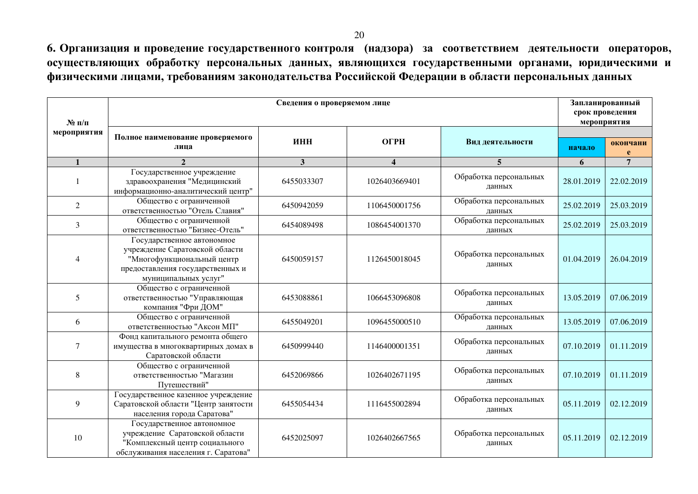6. Организация и проведение государственного контроля (надзора) за соответствием деятельности операторов, осуществляющих обработку персональных данных, являющихся государственными органами, юридическими и физическими лицами, требованиям законодательства Российской Федерации в области персональных данных

| $N_2$ п/п      |                                                                                                                                                        | Сведения о проверяемом лице |                  |                                  | Запланированный<br>срок проведения<br>мероприятия |                |
|----------------|--------------------------------------------------------------------------------------------------------------------------------------------------------|-----------------------------|------------------|----------------------------------|---------------------------------------------------|----------------|
| мероприятия    | Полное наименование проверяемого<br>лица                                                                                                               | ИНН                         | ОГРН             | Вид деятельности                 | начало                                            | окончани       |
| $\mathbf{1}$   | $\mathcal{D}_{\alpha}$                                                                                                                                 | 3                           | $\boldsymbol{4}$ | 5                                | 6                                                 | $\overline{7}$ |
|                | Государственное учреждение<br>здравоохранения "Медицинский<br>информационно-аналитический центр"                                                       | 6455033307                  | 1026403669401    | Обработка персональных<br>данных | 28.01.2019                                        | 22.02.2019     |
| $\overline{2}$ | Общество с ограниченной<br>ответственностью "Отель Славия"                                                                                             | 6450942059                  | 1106450001756    | Обработка персональных<br>данных | 25.02.2019                                        | 25.03.2019     |
| 3              | Общество с ограниченной<br>ответственностью "Бизнес-Отель"                                                                                             | 6454089498                  | 1086454001370    | Обработка персональных<br>данных | 25.02.2019                                        | 25.03.2019     |
| 4              | Государственное автономное<br>учреждение Саратовской области<br>"Многофункциональный центр<br>предоставления государственных и<br>муниципальных услуг" | 6450059157                  | 1126450018045    | Обработка персональных<br>ланных | 01.04.2019                                        | 26.04.2019     |
| 5              | Общество с ограниченной<br>ответственностью "Управляющая<br>компания "Фри ДОМ"                                                                         | 6453088861                  | 1066453096808    | Обработка персональных<br>данных | 13.05.2019                                        | 07.06.2019     |
| 6              | Общество с ограниченной<br>ответственностью "Аксон МП"                                                                                                 | 6455049201                  | 1096455000510    | Обработка персональных<br>данных | 13.05.2019                                        | 07.06.2019     |
| 7              | Фонд капитального ремонта общего<br>имущества в многоквартирных домах в<br>Саратовской области                                                         | 6450999440                  | 1146400001351    | Обработка персональных<br>данных | 07.10.2019                                        | 01.11.2019     |
| 8              | Общество с ограниченной<br>ответственностью "Магазин<br>Путешествий"                                                                                   | 6452069866                  | 1026402671195    | Обработка персональных<br>данных | 07.10.2019                                        | 01.11.2019     |
| 9              | Государственное казенное учреждение<br>Саратовской области "Центр занятости<br>населения города Саратова"                                              | 6455054434                  | 1116455002894    | Обработка персональных<br>данных | 05.11.2019                                        | 02.12.2019     |
| 10             | Государственное автономное<br>учреждение Саратовской области<br>"Комплексный центр социального<br>обслуживания населения г. Саратова"                  | 6452025097                  | 1026402667565    | Обработка персональных<br>данных | 05.11.2019                                        | 02.12.2019     |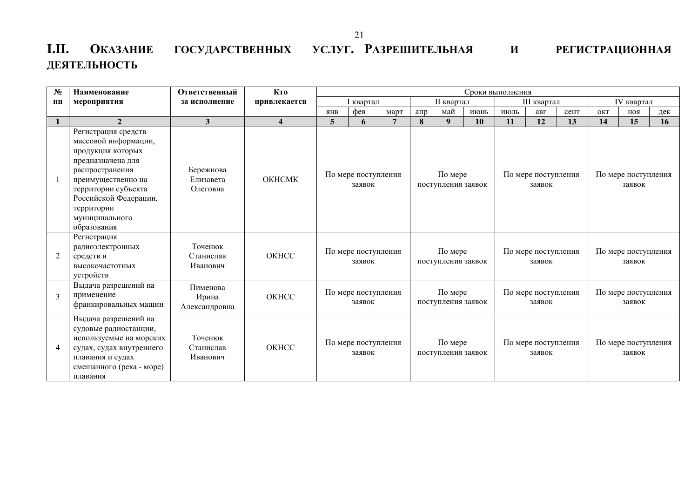## **І.ІІ. О**КАЗАНИЕ ГОСУДАРСТВЕННЫХ УСЛУГ. РАЗРЕШИТЕЛЬНАЯ И РЕГИСТРАЦИОННАЯ **ДЕЯТЕЛЬНОСТЬ**

| $N_2$          | Наименование                                                                                                                                                                                                                  | Ответственный                      | Кто                     |                               |                               |                | Сроки выполнения                                               |                               |      |                               |                               |      |                               |                     |     |  |
|----------------|-------------------------------------------------------------------------------------------------------------------------------------------------------------------------------------------------------------------------------|------------------------------------|-------------------------|-------------------------------|-------------------------------|----------------|----------------------------------------------------------------|-------------------------------|------|-------------------------------|-------------------------------|------|-------------------------------|---------------------|-----|--|
| $\Pi$          | мероприятия                                                                                                                                                                                                                   | за исполнение                      | привлекается            |                               | I квартал                     |                |                                                                | II квартал                    |      |                               | III квартал                   |      |                               | IV квартал          |     |  |
|                |                                                                                                                                                                                                                               |                                    |                         | <b>AHB</b>                    | фев                           | март           | $a$ <sub>m</sub>                                               | май                           | июнь | июль                          | авг                           | сент | ОКТ                           | ноя                 | дек |  |
| $\mathbf{1}$   | $\overline{2}$                                                                                                                                                                                                                | 3                                  | $\overline{\mathbf{4}}$ | 5                             | 6                             | $\overline{7}$ | 8                                                              | 9 <sup>°</sup>                | 10   | 11                            | 12                            | 13   | 14                            | 15                  | 16  |  |
|                | Регистрация средств<br>массовой информации,<br>продукция которых<br>предназначена для<br>распространения<br>преимущественно на<br>территории субъекта<br>Российской Федерации,<br>территории<br>муниципального<br>образования | Бережнова<br>Елизавета<br>Олеговна | <b>OKHCMK</b>           |                               | По мере поступления<br>заявок |                |                                                                | По мере<br>поступления заявок |      |                               | По мере поступления<br>заявок |      | По мере поступления<br>заявок |                     |     |  |
| $\overline{2}$ | Регистрация<br>радиоэлектронных<br>средств и<br>высокочастотных<br>устройств                                                                                                                                                  | Точенюк<br>Станислав<br>Иванович   | OKHCC                   |                               | По мере поступления<br>заявок |                |                                                                | По мере<br>поступления заявок |      |                               | По мере поступления<br>заявок |      |                               | По мере поступления |     |  |
| 3              | Выдача разрешений на<br>применение<br>франкировальных машин                                                                                                                                                                   | Пименова<br>Ирина<br>Александровна | OKHCC                   | По мере поступления<br>заявок |                               |                | По мере<br>поступления заявок                                  |                               |      | По мере поступления<br>заявок |                               |      | По мере поступления<br>заявок |                     |     |  |
| $\overline{4}$ | Выдача разрешений на<br>судовые радиостанции,<br>используемые на морских<br>судах, судах внутреннего<br>плавания и судах<br>смешанного (река - море)<br>плавания                                                              | Точенюк<br>Станислав<br>Иванович   | OKHCC                   | По мере поступления<br>заявок |                               |                | По мере<br>По мере поступления<br>поступления заявок<br>заявок |                               |      |                               | По мере поступления<br>заявок |      |                               |                     |     |  |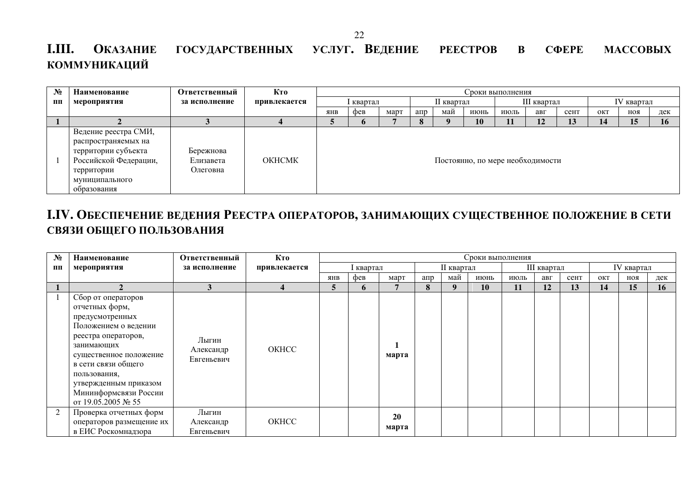## **І.III. Оказание государственных услуг. Ведение реестров в сфере массовых КОММУНИКАЦИЙ**

| $N_2$ | Наименование                                                                                                                               | Ответственный                      | Кто           |                                                              |           |  |            |  |  | Сроки выполнения                 |     |      |            |            |     |
|-------|--------------------------------------------------------------------------------------------------------------------------------------------|------------------------------------|---------------|--------------------------------------------------------------|-----------|--|------------|--|--|----------------------------------|-----|------|------------|------------|-----|
| ПП    | мероприятия                                                                                                                                | за исполнение                      | привлекается  |                                                              | l квартал |  | II квартал |  |  | III квартал                      |     |      | IV квартал |            |     |
|       |                                                                                                                                            |                                    |               | май<br>$a$ <sub>m</sub><br><b>SHB</b><br>фев<br>март<br>июнь |           |  |            |  |  | июль                             | авг | сент | ОКТ        | <b>ROH</b> | дек |
|       |                                                                                                                                            |                                    |               | 12<br>13<br>10<br>15<br>14                                   |           |  |            |  |  |                                  |     |      |            | 16         |     |
|       | Ведение реестра СМИ,<br>распространяемых на<br>территории субъекта<br>Российской Федерации,<br>территории<br>муниципального<br>образования | Бережнова<br>Елизавета<br>Олеговна | <b>OKHCMK</b> |                                                              |           |  |            |  |  | Постоянно, по мере необходимости |     |      |            |            |     |

## **І.IV. ОБЕСПЕЧЕНИЕ ВЕДЕНИЯ РЕЕСТРА ОПЕРАТОРОВ, ЗАНИМАЮЩИХ СУЩЕСТВЕННОЕ ПОЛОЖЕНИЕ В СЕТИ** СВЯЗИ ОБЩЕГО ПОЛЬЗОВАНИЯ

| $N_2$ | Наименование                                                                                                                                                                                                                                                  | Ответственный                    | Кто          |     |           |             | Сроки выполнения  |     |             |           |     |      |            |     |     |
|-------|---------------------------------------------------------------------------------------------------------------------------------------------------------------------------------------------------------------------------------------------------------------|----------------------------------|--------------|-----|-----------|-------------|-------------------|-----|-------------|-----------|-----|------|------------|-----|-----|
| ПП    | мероприятия                                                                                                                                                                                                                                                   | за исполнение                    | привлекается |     | I квартал |             | <b>II</b> квартал |     | III квартал |           |     |      | IV квартал |     |     |
|       |                                                                                                                                                                                                                                                               |                                  |              | ЯНВ | фев       | март        | апр               | май | июнь        | июль      | авг | сент | ОКТ        | ноя | дек |
|       |                                                                                                                                                                                                                                                               |                                  |              | 5   | 6         |             | 8                 | 9   | 10          | <b>11</b> | 12  | 13   | 14         | 15  | 16  |
|       | Сбор от операторов<br>отчетных форм,<br>предусмотренных<br>Положением о ведении<br>реестра операторов,<br>занимающих<br>существенное положение<br>в сети связи общего<br>пользования,<br>утвержденным приказом<br>Мининформсвязи России<br>от 19.05.2005 № 55 | Лыгин<br>Александр<br>Евгеньевич | OKHCC        |     |           | марта       |                   |     |             |           |     |      |            |     |     |
| 2     | Проверка отчетных форм<br>операторов размещение их<br>в ЕИС Роскомнадзора                                                                                                                                                                                     | Лыгин<br>Александр<br>Евгеньевич | OKHCC        |     |           | 20<br>марта |                   |     |             |           |     |      |            |     |     |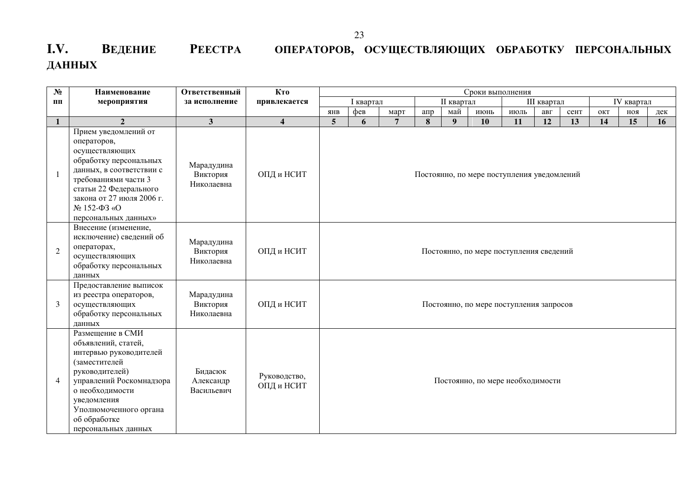## **І.V. Ведение Реестра операторов, осуществляющих обработку персональных ȾȺɇɇɕɏ**

| $N_2$          | Наименование                                                                                                                                                                                                                        | Ответственный                        | Кто                        | Сроки выполнения                        |           |                |     |                |                                            |      |             |      |     |            |     |
|----------------|-------------------------------------------------------------------------------------------------------------------------------------------------------------------------------------------------------------------------------------|--------------------------------------|----------------------------|-----------------------------------------|-----------|----------------|-----|----------------|--------------------------------------------|------|-------------|------|-----|------------|-----|
| пп             | мероприятия                                                                                                                                                                                                                         | за исполнение                        | привлекается               |                                         | I квартал |                |     | II квартал     |                                            |      | III квартал |      |     | IV квартал |     |
|                |                                                                                                                                                                                                                                     |                                      |                            | <b>AHB</b>                              | фев       | март           | апр | май            | июнь                                       | июль | авг         | сент | ОКТ | ноя        | дек |
| 1              | $\overline{2}$                                                                                                                                                                                                                      | 3                                    | $\overline{\mathbf{4}}$    | 5                                       | 6         | $\overline{7}$ | 8   | 9 <sup>°</sup> | 10                                         | 11   | 12          | 13   | 14  | 15         | 16  |
| $\mathbf{1}$   | Прием уведомлений от<br>операторов,<br>осуществляющих<br>обработку персональных<br>данных, в соответствии с<br>требованиями части 3<br>статьи 22 Федерального<br>закона от 27 июля 2006 г.<br>№ 152-ФЗ «О<br>персональных данных»   | Марадудина<br>Виктория<br>Николаевна | ОПД и НСИТ                 |                                         |           |                |     |                | Постоянно, по мере поступления уведомлений |      |             |      |     |            |     |
| $\overline{2}$ | Внесение (изменение,<br>исключение) сведений об<br>операторах,<br>осуществляющих<br>обработку персональных<br>данных                                                                                                                | Марадудина<br>Виктория<br>Николаевна | ОПД и НСИТ                 | Постоянно, по мере поступления сведений |           |                |     |                |                                            |      |             |      |     |            |     |
| 3              | Предоставление выписок<br>из реестра операторов,<br>осуществляющих<br>обработку персональных<br>данных                                                                                                                              | Марадудина<br>Виктория<br>Николаевна | ОПД и НСИТ                 |                                         |           |                |     |                | Постоянно, по мере поступления запросов    |      |             |      |     |            |     |
| 4              | Размещение в СМИ<br>объявлений, статей,<br>интервью руководителей<br>(заместителей<br>руководителей)<br>управлений Роскомнадзора<br>о необходимости<br>уведомления<br>Уполномоченного органа<br>об обработке<br>персональных данных | Бидасюк<br>Александр<br>Васильевич   | Руководство,<br>ОПД и НСИТ | Постоянно, по мере необходимости        |           |                |     |                |                                            |      |             |      |     |            |     |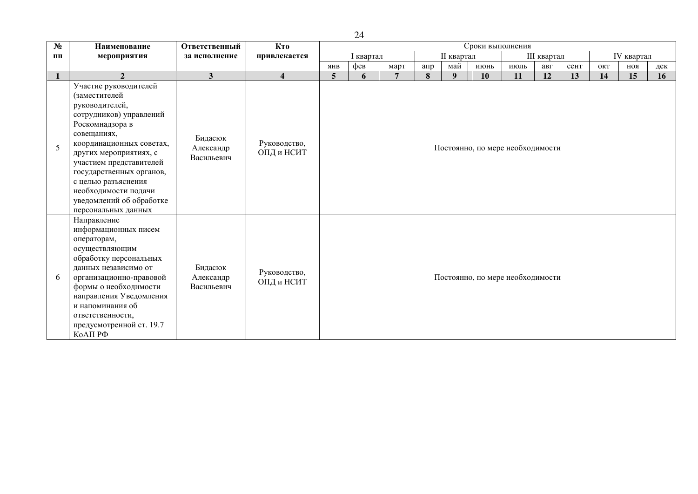| $N_2$        | Наименование                                                                                                                                                                                                                                                                                                                         | Ответственный                      | Кто                        | Сроки выполнения                 |           |                |     |                   |           |      |             |      |     |            |     |
|--------------|--------------------------------------------------------------------------------------------------------------------------------------------------------------------------------------------------------------------------------------------------------------------------------------------------------------------------------------|------------------------------------|----------------------------|----------------------------------|-----------|----------------|-----|-------------------|-----------|------|-------------|------|-----|------------|-----|
| ПП           | мероприятия                                                                                                                                                                                                                                                                                                                          | за исполнение                      | привлекается               |                                  | I квартал |                |     | <b>II</b> квартал |           |      | III квартал |      |     | IV квартал |     |
|              |                                                                                                                                                                                                                                                                                                                                      |                                    |                            | <b>AHB</b>                       | фев       | март           | апр | май               | июнь      | июль | авг         | сент | ОКТ | ноя        | дек |
| $\mathbf{1}$ | $\overline{2}$                                                                                                                                                                                                                                                                                                                       | $\mathbf{3}$                       | $\overline{\mathbf{4}}$    | 5                                | 6         | $\overline{7}$ | 8   | 9                 | <b>10</b> | 11   | 12          | 13   | 14  | 15         | 16  |
| 5            | Участие руководителей<br>(заместителей<br>руководителей,<br>сотрудников) управлений<br>Роскомнадзора в<br>совещаниях,<br>координационных советах,<br>других мероприятиях, с<br>участием представителей<br>государственных органов,<br>с целью разъяснения<br>необходимости подачи<br>уведомлений об обработке<br>персональных данных | Бидасюк<br>Александр<br>Васильевич | Руководство,<br>ОПД и НСИТ | Постоянно, по мере необходимости |           |                |     |                   |           |      |             |      |     |            |     |
| 6            | Направление<br>информационных писем<br>операторам,<br>осуществляющим<br>обработку персональных<br>данных независимо от<br>организационно-правовой<br>формы о необходимости<br>направления Уведомления<br>и напоминания об<br>ответственности,<br>предусмотренной ст. 19.7<br>КоАП РФ                                                 | Бидасюк<br>Александр<br>Васильевич | Руководство,<br>ОПД и НСИТ | Постоянно, по мере необходимости |           |                |     |                   |           |      |             |      |     |            |     |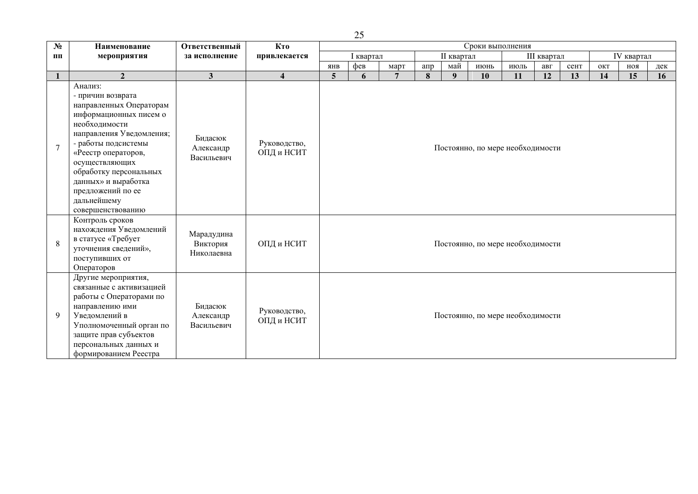| $\overline{\mathbf{N}_{2}}$ | Наименование                                                                                                                                                                                                                                                                                             | Ответственный                        | Кто                        | Сроки выполнения |                                               |      |     |     |                                  |      |     |      |     |     |     |
|-----------------------------|----------------------------------------------------------------------------------------------------------------------------------------------------------------------------------------------------------------------------------------------------------------------------------------------------------|--------------------------------------|----------------------------|------------------|-----------------------------------------------|------|-----|-----|----------------------------------|------|-----|------|-----|-----|-----|
| ПП                          | мероприятия                                                                                                                                                                                                                                                                                              | за исполнение                        | привлекается               |                  | <b>II</b> квартал<br>III квартал<br>I квартал |      |     |     | IV квартал                       |      |     |      |     |     |     |
|                             |                                                                                                                                                                                                                                                                                                          |                                      |                            | <b>AHB</b>       | фев                                           | март | апр | май | июнь                             | июль | авг | сент | ОКТ | ROH | дек |
|                             | $\overline{2}$                                                                                                                                                                                                                                                                                           | $\mathbf{3}$                         | $\overline{\mathbf{4}}$    | 5                | 6                                             | 7    | 8   | 9   | 10                               | 11   | 12  | 13   | 14  | 15  | 16  |
| $\overline{7}$              | Анализ:<br>- причин возврата<br>направленных Операторам<br>информационных писем о<br>необходимости<br>направления Уведомления;<br>- работы подсистемы<br>«Реестр операторов,<br>осуществляющих<br>обработку персональных<br>данных» и выработка<br>предложений по ее<br>дальнейшему<br>совершенствованию | Бидасюк<br>Александр<br>Васильевич   | Руководство,<br>ОПД и НСИТ |                  |                                               |      |     |     | Постоянно, по мере необходимости |      |     |      |     |     |     |
| 8                           | Контроль сроков<br>нахождения Уведомлений<br>в статусе «Требует<br>уточнения сведений»,<br>поступивших от<br>Операторов                                                                                                                                                                                  | Марадудина<br>Виктория<br>Николаевна | ОПД и НСИТ                 |                  |                                               |      |     |     | Постоянно, по мере необходимости |      |     |      |     |     |     |
| 9                           | Другие мероприятия,<br>связанные с активизацией<br>работы с Операторами по<br>направлению ими<br>Уведомлений в<br>Уполномоченный орган по<br>защите прав субъектов<br>персональных данных и<br>формированием Реестра                                                                                     | Бидасюк<br>Александр<br>Васильевич   | Руководство,<br>ОПД и НСИТ |                  |                                               |      |     |     | Постоянно, по мере необходимости |      |     |      |     |     |     |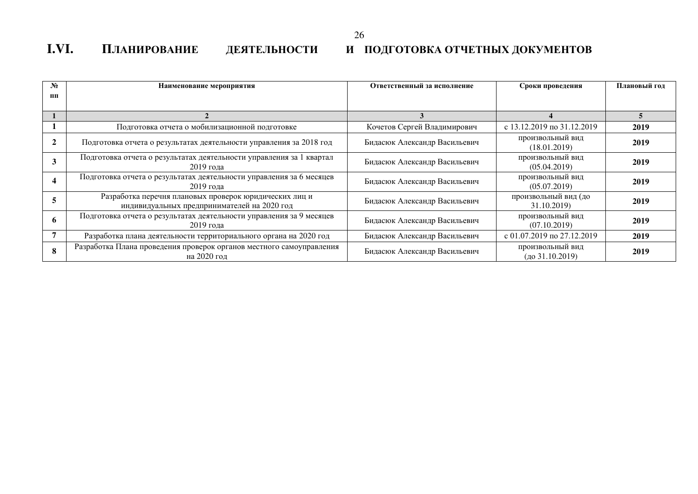#### 26

## **І.VI. ПЛАНИРОВАНИЕ ДЕЯТЕЛЬНОСТИ И ПОДГОТОВКА ОТЧЕТНЫХ ДОКУМЕНТОВ**

| $N_2$ | Наименование мероприятия                                                                              | Ответственный за исполнение  | Сроки проведения                    | Плановый год |
|-------|-------------------------------------------------------------------------------------------------------|------------------------------|-------------------------------------|--------------|
| $\Pi$ |                                                                                                       |                              |                                     |              |
|       |                                                                                                       |                              |                                     |              |
|       | Подготовка отчета о мобилизационной подготовке                                                        | Кочетов Сергей Владимирович  | с 13.12.2019 по 31.12.2019          | 2019         |
|       | Подготовка отчета о результатах деятельности управления за 2018 год                                   | Бидасюк Александр Васильевич | произвольный вид<br>(18.01.2019)    | 2019         |
|       | Подготовка отчета о результатах деятельности управления за 1 квартал<br>2019 гола                     | Бидасюк Александр Васильевич | произвольный вид<br>(05.04.2019)    | 2019         |
|       | Подготовка отчета о результатах деятельности управления за 6 месяцев<br>2019 года                     | Бидасюк Александр Васильевич | произвольный вид<br>(05.07.2019)    | 2019         |
|       | Разработка перечня плановых проверок юридических лиц и<br>индивидуальных предпринимателей на 2020 год | Бидасюк Александр Васильевич | произвольный вид (до<br>31.10.2019) | 2019         |
|       | Подготовка отчета о результатах деятельности управления за 9 месяцев<br>2019 года                     | Бидасюк Александр Васильевич | произвольный вид<br>(07.10.2019)    | 2019         |
|       | Разработка плана деятельности территориального органа на 2020 год                                     | Бидасюк Александр Васильевич | с 01.07.2019 по 27.12.2019          | 2019         |
| 8     | Разработка Плана проведения проверок органов местного самоуправления<br>на 2020 год                   | Бидасюк Александр Васильевич | произвольный вид<br>(до 31.10.2019) | 2019         |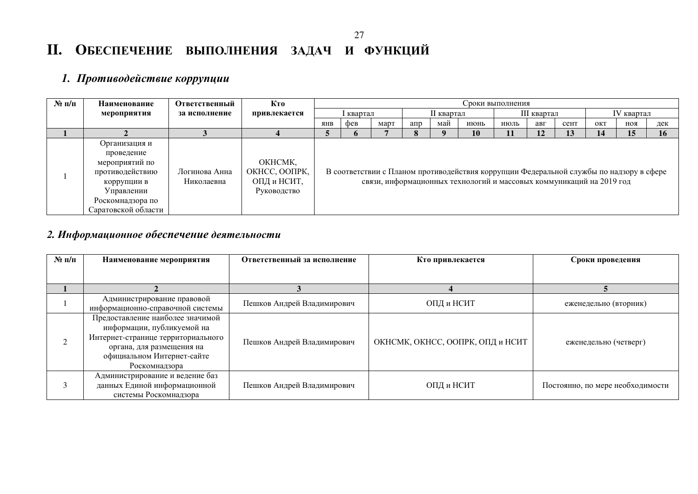#### 27

## **И.** ОБЕСПЕЧЕНИЕ ВЫПОЛНЕНИЯ ЗАДАЧ И ФУНКЦИЙ

## **1.** Противодействие коррупции

| $N$ 2 п/п | Наименование                                                                                                                             | Ответственный               | Кто                                                    | Сроки выполнения |         |      |                  |     |                                                                                                                                                                 |      |     |            |     |            |     |
|-----------|------------------------------------------------------------------------------------------------------------------------------------------|-----------------------------|--------------------------------------------------------|------------------|---------|------|------------------|-----|-----------------------------------------------------------------------------------------------------------------------------------------------------------------|------|-----|------------|-----|------------|-----|
|           | мероприятия                                                                                                                              | за исполнение               | привлекается                                           |                  | квартал |      | II квартал       |     | III квартал                                                                                                                                                     |      |     | IV квартал |     |            |     |
|           |                                                                                                                                          |                             |                                                        | <b>AHB</b>       | фев     | март | $a$ <sub>m</sub> | май | июнь                                                                                                                                                            | июль | авг | сент       | OKT | <b>ROH</b> | дек |
|           |                                                                                                                                          |                             |                                                        |                  | o       |      |                  |     | 10                                                                                                                                                              | 11   | 12  | 13         | 14  | 15         | 16  |
|           | Организация и<br>проведение<br>мероприятий по<br>противодействию<br>коррупции в<br>Управлении<br>Роскомнадзора по<br>Саратовской области | Логинова Анна<br>Николаевна | OKHCMK,<br>ОКНСС, ООПРК,<br>ОПД и НСИТ,<br>Руководство |                  |         |      |                  |     | В соответствии с Планом противодействия коррупции Федеральной службы по надзору в сфере<br>связи, информационных технологий и массовых коммуникаций на 2019 год |      |     |            |     |            |     |

## 2. Информационное обеспечение деятельности

| $N$ ° п/п | Наименование мероприятия                                                                                                                                                         | Ответственный за исполнение | Кто привлекается                 | Сроки проведения                 |
|-----------|----------------------------------------------------------------------------------------------------------------------------------------------------------------------------------|-----------------------------|----------------------------------|----------------------------------|
|           |                                                                                                                                                                                  |                             |                                  |                                  |
|           |                                                                                                                                                                                  |                             |                                  |                                  |
|           | Администрирование правовой<br>информационно-справочной системы                                                                                                                   | Пешков Андрей Владимирович  | ОПД и НСИТ                       | еженедельно (вторник)            |
|           | Предоставление наиболее значимой<br>информации, публикуемой на<br>Интернет-странице территориального<br>органа, для размещения на<br>официальном Интернет-сайте<br>Роскомнадзора | Пешков Андрей Владимирович  | ОКНСМК, ОКНСС, ООПРК, ОПД и НСИТ | еженедельно (четверг)            |
|           | Администрирование и ведение баз<br>данных Единой информационной<br>системы Роскомнадзора                                                                                         | Пешков Андрей Владимирович  | ОПД и НСИТ                       | Постоянно, по мере необходимости |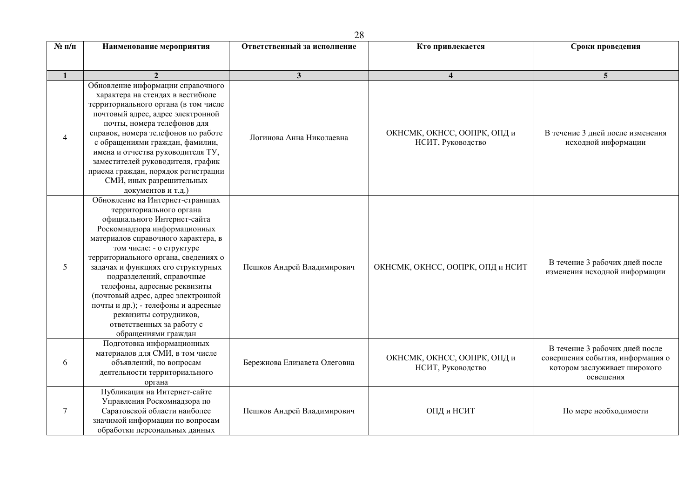| $N$ 2 п/п      | Наименование мероприятия                                                                                                                                                                                                                                                                                                                                                                                                                                                                            | Ответственный за исполнение  | Кто привлекается                                 | Сроки проведения                                                                                                |
|----------------|-----------------------------------------------------------------------------------------------------------------------------------------------------------------------------------------------------------------------------------------------------------------------------------------------------------------------------------------------------------------------------------------------------------------------------------------------------------------------------------------------------|------------------------------|--------------------------------------------------|-----------------------------------------------------------------------------------------------------------------|
|                |                                                                                                                                                                                                                                                                                                                                                                                                                                                                                                     |                              |                                                  |                                                                                                                 |
| $\mathbf{1}$   | $\overline{2}$                                                                                                                                                                                                                                                                                                                                                                                                                                                                                      | $\mathbf{3}$                 | $\overline{\mathbf{4}}$                          | $\overline{5}$                                                                                                  |
| $\overline{4}$ | Обновление информации справочного<br>характера на стендах в вестибюле<br>территориального органа (в том числе<br>почтовый адрес, адрес электронной<br>почты, номера телефонов для<br>справок, номера телефонов по работе<br>с обращениями граждан, фамилии,<br>имена и отчества руководителя ТУ,<br>заместителей руководителя, график<br>приема граждан, порядок регистрации<br>СМИ, иных разрешительных<br>документов и т.д.)                                                                      | Логинова Анна Николаевна     | ОКНСМК, ОКНСС, ООПРК, ОПД и<br>НСИТ, Руководство | В течение 3 дней после изменения<br>исходной информации                                                         |
| 5              | Обновление на Интернет-страницах<br>территориального органа<br>официального Интернет-сайта<br>Роскомнадзора информационных<br>материалов справочного характера, в<br>том числе: - о структуре<br>территориального органа, сведениях о<br>задачах и функциях его структурных<br>подразделений, справочные<br>телефоны, адресные реквизиты<br>(почтовый адрес, адрес электронной<br>почты и др.); - телефоны и адресные<br>реквизиты сотрудников,<br>ответственных за работу с<br>обращениями граждан | Пешков Андрей Владимирович   | ОКНСМК, ОКНСС, ООПРК, ОПД и НСИТ                 | В течение 3 рабочих дней после<br>изменения исходной информации                                                 |
| 6              | Подготовка информационных<br>материалов для СМИ, в том числе<br>объявлений, по вопросам<br>деятельности территориального<br>органа                                                                                                                                                                                                                                                                                                                                                                  | Бережнова Елизавета Олеговна | ОКНСМК, ОКНСС, ООПРК, ОПД и<br>НСИТ, Руководство | В течение 3 рабочих дней после<br>совершения события, информация о<br>котором заслуживает широкого<br>освещения |
| $\tau$         | Публикация на Интернет-сайте<br>Управления Роскомнадзора по<br>Саратовской области наиболее<br>значимой информации по вопросам<br>обработки персональных данных                                                                                                                                                                                                                                                                                                                                     | Пешков Андрей Владимирович   | ОПД и НСИТ                                       | По мере необходимости                                                                                           |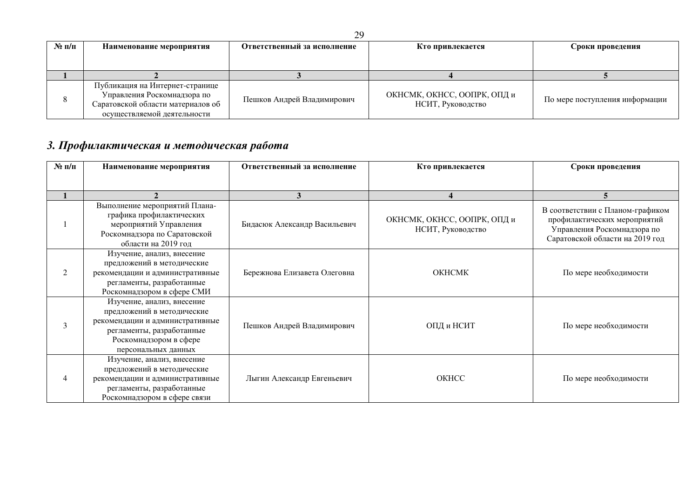| $N$ 2 п/п | Наименование мероприятия                                                                                                           | Ответственный за исполнение | Кто привлекается                                 | Сроки проведения               |
|-----------|------------------------------------------------------------------------------------------------------------------------------------|-----------------------------|--------------------------------------------------|--------------------------------|
|           |                                                                                                                                    |                             |                                                  |                                |
|           |                                                                                                                                    |                             |                                                  |                                |
|           | Публикация на Интернет-странице<br>Управления Роскомнадзора по<br>Саратовской области материалов об<br>осуществляемой деятельности | Пешков Андрей Владимирович  | ОКНСМК, ОКНСС, ООПРК, ОПД и<br>НСИТ, Руководство | По мере поступления информации |

## 3. Профилактическая и методическая работа

| $N$ 2 п/п      | Наименование мероприятия                                                                                                                                                  | Ответственный за исполнение  | Кто привлекается                                 | Сроки проведения                                                                                                                   |
|----------------|---------------------------------------------------------------------------------------------------------------------------------------------------------------------------|------------------------------|--------------------------------------------------|------------------------------------------------------------------------------------------------------------------------------------|
|                |                                                                                                                                                                           |                              |                                                  |                                                                                                                                    |
|                |                                                                                                                                                                           | 3                            |                                                  |                                                                                                                                    |
|                | Выполнение мероприятий Плана-<br>графика профилактических<br>мероприятий Управления<br>Роскомнадзора по Саратовской<br>области на 2019 год                                | Бидасюк Александр Васильевич | ОКНСМК, ОКНСС, ООПРК, ОПД и<br>НСИТ, Руководство | В соответствии с Планом-графиком<br>профилактических мероприятий<br>Управления Роскомнадзора по<br>Саратовской области на 2019 год |
| $\mathfrak{D}$ | Изучение, анализ, внесение<br>предложений в методические<br>рекомендации и административные<br>регламенты, разработанные<br>Роскомнадзором в сфере СМИ                    | Бережнова Елизавета Олеговна | <b>OKHCMK</b>                                    | По мере необходимости                                                                                                              |
| $\mathbf{3}$   | Изучение, анализ, внесение<br>предложений в методические<br>рекомендации и административные<br>регламенты, разработанные<br>Роскомнадзором в сфере<br>персональных данных | Пешков Андрей Владимирович   | ОПД и НСИТ                                       | По мере необходимости                                                                                                              |
|                | Изучение, анализ, внесение<br>предложений в методические<br>рекомендации и административные<br>регламенты, разработанные<br>Роскомнадзором в сфере связи                  | Лыгин Александр Евгеньевич   | OKHCC                                            | По мере необходимости                                                                                                              |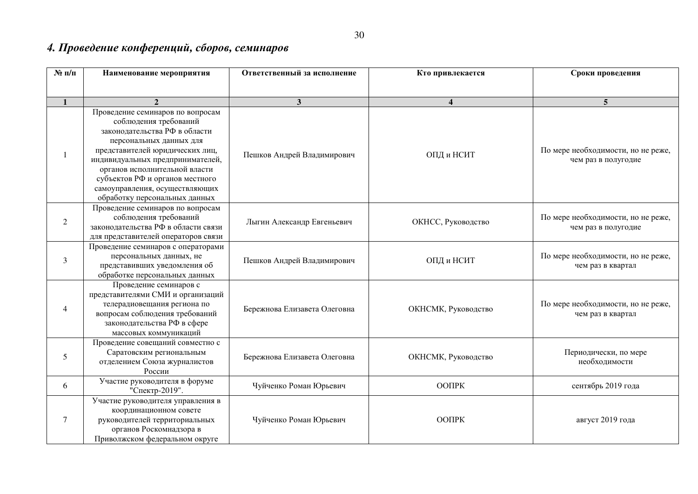## 4. Проведение конференций, сборов, семинаров

| $N$ 2 п/п    | Наименование мероприятия                                                                                                                                                                                                                                                                                                            | Ответственный за исполнение  | Кто привлекается        | Сроки проведения                                          |
|--------------|-------------------------------------------------------------------------------------------------------------------------------------------------------------------------------------------------------------------------------------------------------------------------------------------------------------------------------------|------------------------------|-------------------------|-----------------------------------------------------------|
|              |                                                                                                                                                                                                                                                                                                                                     |                              |                         |                                                           |
| $\mathbf{1}$ | $\overline{2}$                                                                                                                                                                                                                                                                                                                      | $\mathbf{3}$                 | $\overline{\mathbf{4}}$ | 5                                                         |
| $\mathbf{1}$ | Проведение семинаров по вопросам<br>соблюдения требований<br>законодательства РФ в области<br>персональных данных для<br>представителей юридических лиц,<br>индивидуальных предпринимателей,<br>органов исполнительной власти<br>субъектов РФ и органов местного<br>самоуправления, осуществляющих<br>обработку персональных данных | Пешков Андрей Владимирович   | ОПД и НСИТ              | По мере необходимости, но не реже,<br>чем раз в полугодие |
| 2            | Проведение семинаров по вопросам<br>соблюдения требований<br>законодательства РФ в области связи<br>для представителей операторов связи                                                                                                                                                                                             | Лыгин Александр Евгеньевич   | ОКНСС, Руководство      | По мере необходимости, но не реже,<br>чем раз в полугодие |
| 3            | Проведение семинаров с операторами<br>персональных данных, не<br>представивших уведомления об<br>обработке персональных данных                                                                                                                                                                                                      | Пешков Андрей Владимирович   | ОПД и НСИТ              | По мере необходимости, но не реже,<br>чем раз в квартал   |
| 4            | Проведение семинаров с<br>представителями СМИ и организаций<br>телерадиовещания региона по<br>вопросам соблюдения требований<br>законодательства РФ в сфере<br>массовых коммуникаций                                                                                                                                                | Бережнова Елизавета Олеговна | ОКНСМК, Руководство     | По мере необходимости, но не реже,<br>чем раз в квартал   |
| 5            | Проведение совещаний совместно с<br>Саратовским региональным<br>отделением Союза журналистов<br>России                                                                                                                                                                                                                              | Бережнова Елизавета Олеговна | ОКНСМК, Руководство     | Периодически, по мере<br>необходимости                    |
| 6            | Участие руководителя в форуме<br>"Спектр-2019".                                                                                                                                                                                                                                                                                     | Чуйченко Роман Юрьевич       | <b>OOITPK</b>           | сентябрь 2019 года                                        |
| $\tau$       | Участие руководителя управления в<br>координационном совете<br>руководителей территориальных<br>органов Роскомнадзора в<br>Приволжском федеральном округе                                                                                                                                                                           | Чуйченко Роман Юрьевич       | ООПРК                   | август 2019 года                                          |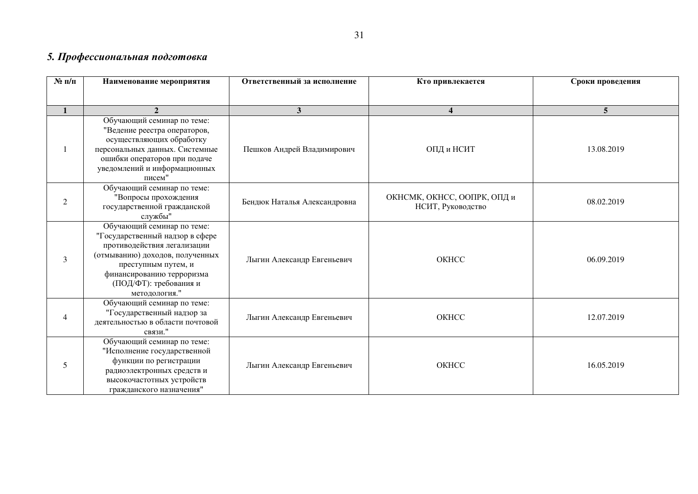## 5. Профессиональная подготовка

| $N$ 2 п/п    | Наименование мероприятия                                                                                                                                                                                                       | Ответственный за исполнение  | Кто привлекается                                 | Сроки проведения |
|--------------|--------------------------------------------------------------------------------------------------------------------------------------------------------------------------------------------------------------------------------|------------------------------|--------------------------------------------------|------------------|
|              |                                                                                                                                                                                                                                |                              |                                                  |                  |
| $\mathbf{1}$ | $\overline{2}$                                                                                                                                                                                                                 | 3 <sup>1</sup>               | $\overline{\mathbf{4}}$                          | 5                |
|              | Обучающий семинар по теме:<br>"Ведение реестра операторов,<br>осуществляющих обработку<br>персональных данных. Системные<br>ошибки операторов при подаче<br>уведомлений и информационных<br>писем"                             | Пешков Андрей Владимирович   | ОПД и НСИТ                                       | 13.08.2019       |
| 2            | Обучающий семинар по теме:<br>"Вопросы прохождения<br>государственной гражданской<br>службы"                                                                                                                                   | Бендюк Наталья Александровна | ОКНСМК, ОКНСС, ООПРК, ОПД и<br>НСИТ, Руководство | 08.02.2019       |
| 3            | Обучающий семинар по теме:<br>"Государственный надзор в сфере<br>противодействия легализации<br>(отмыванию) доходов, полученных<br>преступным путем, и<br>финансированию терроризма<br>(ПОД/ФТ): требования и<br>методология." | Лыгин Александр Евгеньевич   | OKHCC                                            | 06.09.2019       |
| 4            | Обучающий семинар по теме:<br>"Государственный надзор за<br>деятельностью в области почтовой<br>связи."                                                                                                                        | Лыгин Александр Евгеньевич   | OKHCC                                            | 12.07.2019       |
| 5            | Обучающий семинар по теме:<br>"Исполнение государственной<br>функции по регистрации<br>радиоэлектронных средств и<br>высокочастотных устройств<br>гражданского назначения"                                                     | Лыгин Александр Евгеньевич   | OKHCC                                            | 16.05.2019       |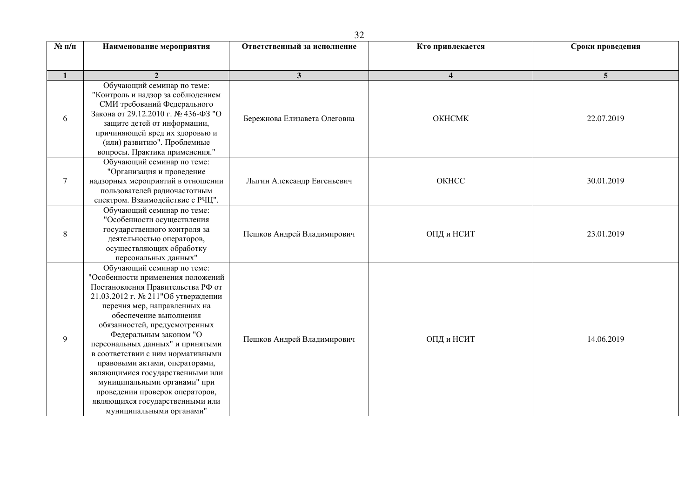| $N$ <sup>2</sup> п/п | Наименование мероприятия                                                                                                                                                                                                                                                                                                                                                                                                                                                                                                                         | Ответственный за исполнение  | Кто привлекается        | Сроки проведения |
|----------------------|--------------------------------------------------------------------------------------------------------------------------------------------------------------------------------------------------------------------------------------------------------------------------------------------------------------------------------------------------------------------------------------------------------------------------------------------------------------------------------------------------------------------------------------------------|------------------------------|-------------------------|------------------|
| $\mathbf{1}$         |                                                                                                                                                                                                                                                                                                                                                                                                                                                                                                                                                  | $\mathbf{3}$                 | $\overline{\mathbf{4}}$ | 5                |
| 6                    | Обучающий семинар по теме:<br>"Контроль и надзор за соблюдением<br>СМИ требований Федерального<br>Закона от 29.12.2010 г. № 436-ФЗ "О<br>защите детей от информации,<br>причиняющей вред их здоровью и<br>(или) развитию". Проблемные<br>вопросы. Практика применения."                                                                                                                                                                                                                                                                          | Бережнова Елизавета Олеговна | OKHCMK                  | 22.07.2019       |
| 7                    | Обучающий семинар по теме:<br>"Организация и проведение<br>надзорных мероприятий в отношении<br>пользователей радиочастотным<br>спектром. Взаимодействие с РЧЦ".                                                                                                                                                                                                                                                                                                                                                                                 | Лыгин Александр Евгеньевич   | OKHCC                   | 30.01.2019       |
| 8                    | Обучающий семинар по теме:<br>"Особенности осуществления<br>государственного контроля за<br>деятельностью операторов,<br>осуществляющих обработку<br>персональных данных"                                                                                                                                                                                                                                                                                                                                                                        | Пешков Андрей Владимирович   | ОПД и НСИТ              | 23.01.2019       |
| 9                    | Обучающий семинар по теме:<br>"Особенности применения положений<br>Постановления Правительства РФ от<br>21.03.2012 г. № 211"Об утверждении<br>перечня мер, направленных на<br>обеспечение выполнения<br>обязанностей, предусмотренных<br>Федеральным законом "О<br>персональных данных" и принятыми<br>в соответствии с ним нормативными<br>правовыми актами, операторами,<br>являющимися государственными или<br>муниципальными органами" при<br>проведении проверок операторов,<br>являющихся государственными или<br>муниципальными органами" | Пешков Андрей Владимирович   | ОПД и НСИТ              | 14.06.2019       |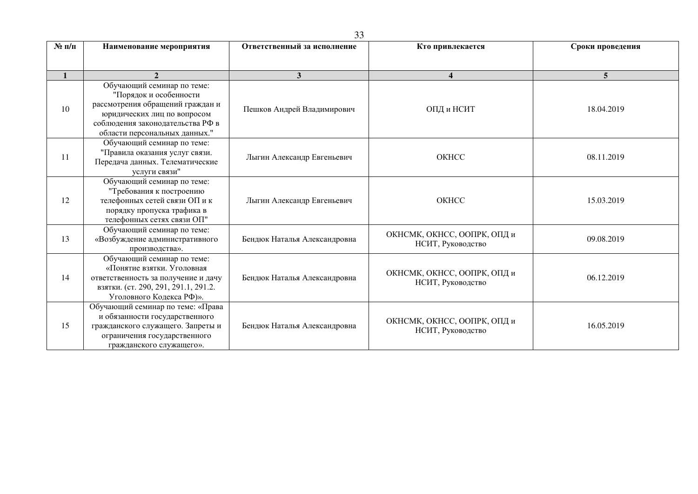| $N$ 2 п/п    | Наименование мероприятия                                                                                                                                                                     | Ответственный за исполнение  | Кто привлекается                                 | Сроки проведения |
|--------------|----------------------------------------------------------------------------------------------------------------------------------------------------------------------------------------------|------------------------------|--------------------------------------------------|------------------|
|              |                                                                                                                                                                                              |                              |                                                  |                  |
| $\mathbf{1}$ | $\mathbf{2}$                                                                                                                                                                                 | 3                            | $\overline{\mathbf{4}}$                          | $\overline{5}$   |
| 10           | Обучающий семинар по теме:<br>"Порядок и особенности<br>рассмотрения обращений граждан и<br>юридических лиц по вопросом<br>соблюдения законодательства РФ в<br>области персональных данных." | Пешков Андрей Владимирович   | ОПД и НСИТ                                       | 18.04.2019       |
| 11           | Обучающий семинар по теме:<br>"Правила оказания услуг связи.<br>Передача данных. Телематические<br>услуги связи"                                                                             | Лыгин Александр Евгеньевич   | OKHCC                                            | 08.11.2019       |
| 12           | Обучающий семинар по теме:<br>"Требования к построению<br>телефонных сетей связи ОП и к<br>порядку пропуска трафика в<br>телефонных сетях связи ОП"                                          | Лыгин Александр Евгеньевич   | OKHCC                                            | 15.03.2019       |
| 13           | Обучающий семинар по теме:<br>«Возбуждение административного<br>производства».                                                                                                               | Бендюк Наталья Александровна | ОКНСМК, ОКНСС, ООПРК, ОПД и<br>НСИТ, Руководство | 09.08.2019       |
| 14           | Обучающий семинар по теме:<br>«Понятие взятки. Уголовная<br>ответственность за получение и дачу<br>взятки. (ст. 290, 291, 291.1, 291.2.<br>Уголовного Кодекса РФ)».                          | Бендюк Наталья Александровна | ОКНСМК, ОКНСС, ООПРК, ОПД и<br>НСИТ, Руководство | 06.12.2019       |
| 15           | Обучающий семинар по теме: «Права<br>и обязанности государственного<br>гражданского служащего. Запреты и<br>ограничения государственного<br>гражданского служащего».                         | Бендюк Наталья Александровна | ОКНСМК, ОКНСС, ООПРК, ОПД и<br>НСИТ, Руководство | 16.05.2019       |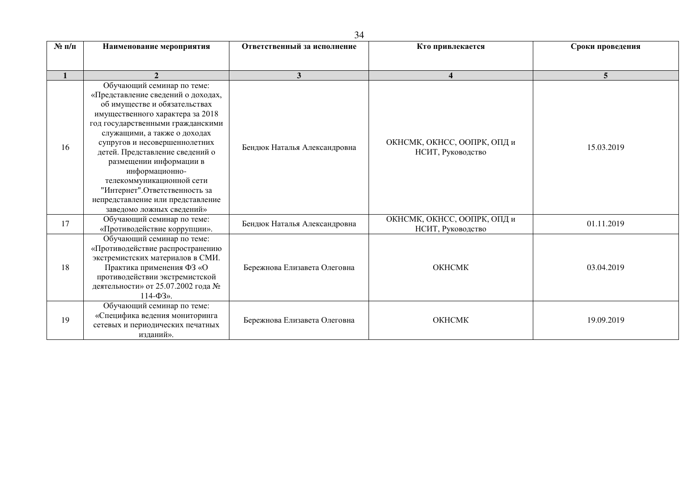| $N_2$ п/п    | Наименование мероприятия                                                                                                                                                                                                                                                                                                                                                                                                                                     | Ответственный за исполнение  | Кто привлекается                                 | Сроки проведения |  |
|--------------|--------------------------------------------------------------------------------------------------------------------------------------------------------------------------------------------------------------------------------------------------------------------------------------------------------------------------------------------------------------------------------------------------------------------------------------------------------------|------------------------------|--------------------------------------------------|------------------|--|
| $\mathbf{1}$ | $\overline{2}$                                                                                                                                                                                                                                                                                                                                                                                                                                               | 3                            | $\overline{\mathbf{4}}$                          | 5 <sup>5</sup>   |  |
| 16           | Обучающий семинар по теме:<br>«Представление сведений о доходах,<br>об имуществе и обязательствах<br>имущественного характера за 2018<br>год государственными гражданскими<br>служащими, а также о доходах<br>супругов и несовершеннолетних<br>детей. Представление сведений о<br>размещении информации в<br>информационно-<br>телекоммуникационной сети<br>"Интернет". Ответственность за<br>непредставление или представление<br>заведомо ложных сведений» | Бендюк Наталья Александровна | ОКНСМК, ОКНСС, ООПРК, ОПД и<br>НСИТ, Руководство | 15.03.2019       |  |
| 17           | Обучающий семинар по теме:<br>«Противодействие коррупции».                                                                                                                                                                                                                                                                                                                                                                                                   | Бендюк Наталья Александровна | ОКНСМК, ОКНСС, ООПРК, ОПД и<br>НСИТ, Руководство | 01.11.2019       |  |
| 18           | Обучающий семинар по теме:<br>«Противодействие распространению<br>экстремистских материалов в СМИ.<br>Практика применения ФЗ «О<br>противодействии экстремистской<br>деятельности» от 25.07.2002 года №<br>$114 - \Phi 3$ ».                                                                                                                                                                                                                                 | Бережнова Елизавета Олеговна | <b>OKHCMK</b>                                    | 03.04.2019       |  |
| 19           | Обучающий семинар по теме:<br>«Специфика ведения мониторинга<br>сетевых и периодических печатных<br>изданий».                                                                                                                                                                                                                                                                                                                                                | Бережнова Елизавета Олеговна | <b>OKHCMK</b>                                    | 19.09.2019       |  |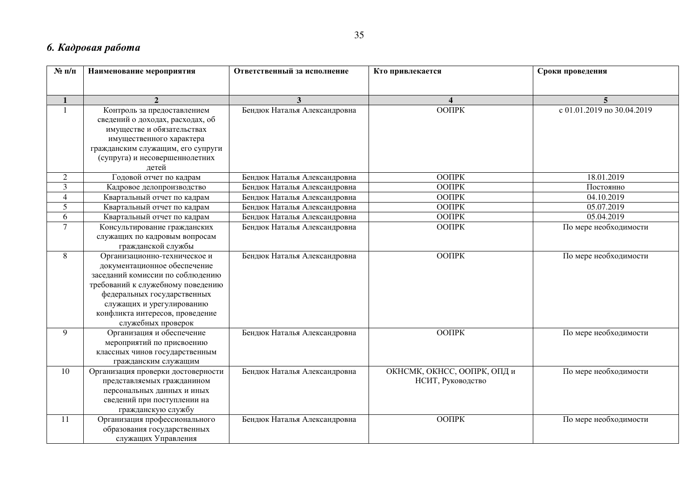## **6. Кадровая работа**

| $N$ 2 п/п       | Наименование мероприятия           | Ответственный за исполнение  | Кто привлекается            | Сроки проведения           |
|-----------------|------------------------------------|------------------------------|-----------------------------|----------------------------|
|                 |                                    |                              |                             |                            |
| $\mathbf{1}$    | $\overline{2}$                     | 3 <sup>1</sup>               | $\boldsymbol{\Delta}$       | $\overline{5}$             |
| $\mathbf{1}$    | Контроль за предоставлением        | Бендюк Наталья Александровна | <b>OOTIPK</b>               | с 01.01.2019 по 30.04.2019 |
|                 | сведений о доходах, расходах, об   |                              |                             |                            |
|                 | имуществе и обязательствах         |                              |                             |                            |
|                 | имущественного характера           |                              |                             |                            |
|                 | гражданским служащим, его супруги  |                              |                             |                            |
|                 | (супруга) и несовершеннолетних     |                              |                             |                            |
|                 | летей                              |                              |                             |                            |
| $\mathfrak{2}$  | Годовой отчет по кадрам            | Бендюк Наталья Александровна | ООПРК                       | 18.01.2019                 |
| $\mathfrak{Z}$  | Кадровое делопроизводство          | Бендюк Наталья Александровна | ООПРК                       | Постоянно                  |
| $\overline{4}$  | Квартальный отчет по кадрам        | Бендюк Наталья Александровна | $\overline{O}$ OTIPK        | 04.10.2019                 |
| $5\overline{)}$ | Квартальный отчет по кадрам        | Бендюк Наталья Александровна | ООПРК                       | 05.07.2019                 |
| 6               | Квартальный отчет по кадрам        | Бендюк Наталья Александровна | <b>OOTIPK</b>               | 05.04.2019                 |
| $\overline{7}$  | Консультирование гражданских       | Бендюк Наталья Александровна | OOTIPK                      | По мере необходимости      |
|                 | служащих по кадровым вопросам      |                              |                             |                            |
|                 | гражданской службы                 |                              |                             |                            |
| 8               | Организационно-техническое и       | Бендюк Наталья Александровна | <b>OOTIPK</b>               | По мере необходимости      |
|                 | документационное обеспечение       |                              |                             |                            |
|                 | заседаний комиссии по соблюдению   |                              |                             |                            |
|                 | требований к служебному поведению  |                              |                             |                            |
|                 | федеральных государственных        |                              |                             |                            |
|                 | служащих и урегулированию          |                              |                             |                            |
|                 | конфликта интересов, проведение    |                              |                             |                            |
|                 | служебных проверок                 |                              |                             |                            |
| 9               | Организация и обеспечение          | Бендюк Наталья Александровна | <b>OOTIPK</b>               | По мере необходимости      |
|                 | мероприятий по присвоению          |                              |                             |                            |
|                 | классных чинов государственным     |                              |                             |                            |
|                 | гражданским служащим               |                              |                             |                            |
| 10              | Организация проверки достоверности | Бендюк Наталья Александровна | ОКНСМК, ОКНСС, ООПРК, ОПД и | По мере необходимости      |
|                 | представляемых гражданином         |                              | НСИТ, Руководство           |                            |
|                 | персональных данных и иных         |                              |                             |                            |
|                 | сведений при поступлении на        |                              |                             |                            |
|                 | гражданскую службу                 |                              |                             |                            |
| 11              | Организация профессионального      | Бендюк Наталья Александровна | ООПРК                       | По мере необходимости      |
|                 | образования государственных        |                              |                             |                            |
|                 | служащих Управления                |                              |                             |                            |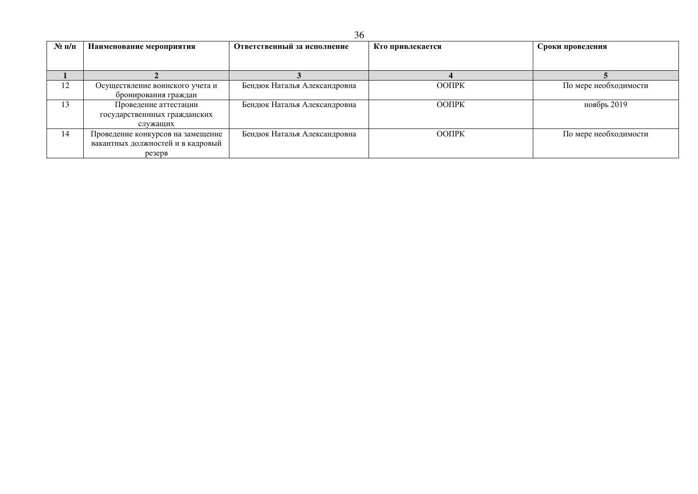| $N$ ° п/п | Наименование мероприятия          | Ответственный за исполнение  | Кто привлекается | Сроки проведения      |
|-----------|-----------------------------------|------------------------------|------------------|-----------------------|
|           |                                   |                              |                  |                       |
|           |                                   |                              |                  |                       |
| 12        | Осуществление воинского учета и   | Бендюк Наталья Александровна | ООПРК            | По мере необходимости |
|           | бронирования граждан              |                              |                  |                       |
| 13        | Проведение аттестации             | Бендюк Наталья Александровна | ООПРК            | ноябрь 2019           |
|           | государственнных гражданских      |                              |                  |                       |
|           | служащих                          |                              |                  |                       |
| 14        | Проведение конкурсов на замещение | Бендюк Наталья Александровна | ООПРК            | По мере необходимости |
|           | вакантных должностей и в кадровый |                              |                  |                       |
|           | резерв                            |                              |                  |                       |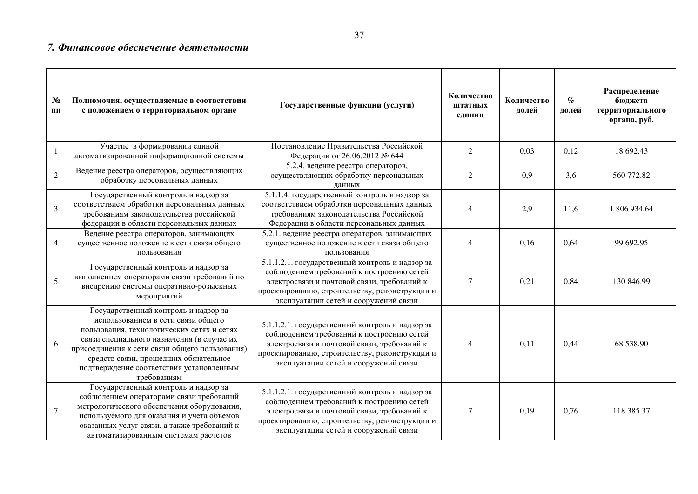#### 7. Финансовое обеспечение деятельности

| N <sub>2</sub><br>ПП | Полномочия, осуществляемые в соответствии<br>с положением о территориальном органе                                                                                                                                                                                                                                           | Государственные функции (услуги)                                                                                                                                                                                                       | Количество<br>штатных<br>единиц | Количество<br>долей | $\%$<br>долей | Распределение<br>бюджета<br>территориального<br>органа, руб. |
|----------------------|------------------------------------------------------------------------------------------------------------------------------------------------------------------------------------------------------------------------------------------------------------------------------------------------------------------------------|----------------------------------------------------------------------------------------------------------------------------------------------------------------------------------------------------------------------------------------|---------------------------------|---------------------|---------------|--------------------------------------------------------------|
| -1                   | Участие в формировании единой<br>автоматизированной информационной системы                                                                                                                                                                                                                                                   | Постановление Правительства Российской<br>Федерации от 26.06.2012 № 644                                                                                                                                                                | $\overline{2}$                  | 0,03                | 0,12          | 18 692.43                                                    |
| $\overline{2}$       | Ведение реестра операторов, осуществляющих<br>обработку персональных данных                                                                                                                                                                                                                                                  | 5.2.4. ведение реестра операторов,<br>осуществляющих обработку персональных<br>ланных                                                                                                                                                  | $\overline{2}$                  | 0,9                 | 3,6           | 560 772.82                                                   |
| $\overline{3}$       | Государственный контроль и надзор за<br>соответствием обработки персональных данных<br>требованиям законодательства российской<br>федерации в области персональных данных                                                                                                                                                    | 5.1.1.4. государственный контроль и надзор за<br>соответствием обработки персональных данных<br>требованиям законодательства Российской<br>Федерации в области персональных данных                                                     | 4                               | 2,9                 | 11,6          | 1 806 934.64                                                 |
| $\overline{4}$       | Ведение реестра операторов, занимающих<br>существенное положение в сети связи общего<br>пользования                                                                                                                                                                                                                          | 5.2.1. ведение реестра операторов, занимающих<br>существенное положение в сети связи общего<br>пользования                                                                                                                             | 4                               | 0,16                | 0,64          | 99 692.95                                                    |
| 5                    | Государственный контроль и надзор за<br>выполнением операторами связи требований по<br>внедрению системы оперативно-розыскных<br>мероприятий                                                                                                                                                                                 | 5.1.1.2.1. государственный контроль и надзор за<br>соблюдением требований к построению сетей<br>электросвязи и почтовой связи, требований к<br>проектированию, строительству, реконструкции и<br>эксплуатации сетей и сооружений связи | 7                               | 0,21                | 0,84          | 130 846.99                                                   |
| 6                    | Государственный контроль и надзор за<br>использованием в сети связи общего<br>пользования, технологических сетях и сетях<br>связи специального назначения (в случае их<br>присоединения к сети связи общего пользования)<br>средств связи, прошедших обязательное<br>подтверждение соответствия установленным<br>требованиям | 5.1.1.2.1. государственный контроль и надзор за<br>соблюдением требований к построению сетей<br>электросвязи и почтовой связи, требований к<br>проектированию, строительству, реконструкции и<br>эксплуатации сетей и сооружений связи | 4                               | 0,11                | 0,44          | 68 538.90                                                    |
| $\overline{7}$       | Государственный контроль и надзор за<br>соблюдением операторами связи требований<br>метрологического обеспечения оборудования,<br>используемого для оказания и учета объемов<br>оказанных услуг связи, а также требований к<br>автоматизированным системам расчетов                                                          | 5.1.1.2.1. государственный контроль и надзор за<br>соблюдением требований к построению сетей<br>электросвязи и почтовой связи, требований к<br>проектированию, строительству, реконструкции и<br>эксплуатации сетей и сооружений связи | 7                               | 0,19                | 0,76          | 118 385.37                                                   |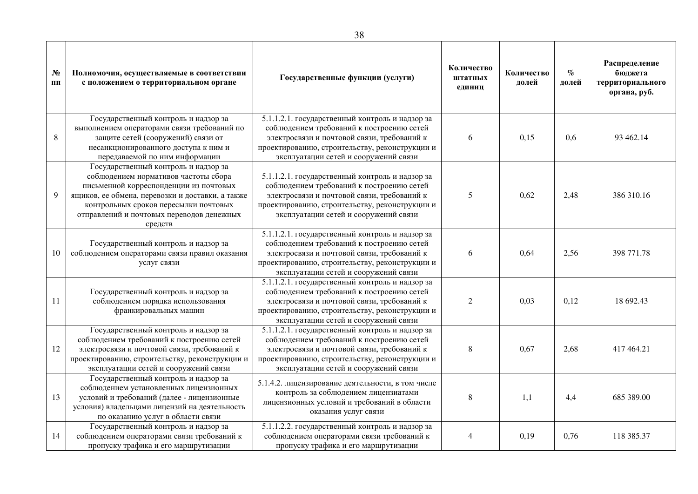| $N_2$<br>ПП | Полномочия, осуществляемые в соответствии<br>с положением о территориальном органе                                                                                                                                                                                          | Государственные функции (услуги)                                                                                                                                                                                                       | Количество<br>штатных<br>единиц | Количество<br>долей | $\%$<br>долей | Распределение<br>бюджета<br>территориального<br>органа, руб. |
|-------------|-----------------------------------------------------------------------------------------------------------------------------------------------------------------------------------------------------------------------------------------------------------------------------|----------------------------------------------------------------------------------------------------------------------------------------------------------------------------------------------------------------------------------------|---------------------------------|---------------------|---------------|--------------------------------------------------------------|
| $\,8\,$     | Государственный контроль и надзор за<br>выполнением операторами связи требований по<br>защите сетей (сооружений) связи от<br>несанкционированного доступа к ним и<br>передаваемой по ним информации                                                                         | 5.1.1.2.1. государственный контроль и надзор за<br>соблюдением требований к построению сетей<br>электросвязи и почтовой связи, требований к<br>проектированию, строительству, реконструкции и<br>эксплуатации сетей и сооружений связи | 6                               | 0,15                | 0,6           | 93 462.14                                                    |
| 9           | Государственный контроль и надзор за<br>соблюдением нормативов частоты сбора<br>письменной корреспонденции из почтовых<br>ящиков, ее обмена, перевозки и доставки, а также<br>контрольных сроков пересылки почтовых<br>отправлений и почтовых переводов денежных<br>средств | 5.1.1.2.1. государственный контроль и надзор за<br>соблюдением требований к построению сетей<br>электросвязи и почтовой связи, требований к<br>проектированию, строительству, реконструкции и<br>эксплуатации сетей и сооружений связи | 5                               | 0,62                | 2,48          | 386 310.16                                                   |
| 10          | Государственный контроль и надзор за<br>соблюдением операторами связи правил оказания<br>услуг связи                                                                                                                                                                        | 5.1.1.2.1. государственный контроль и надзор за<br>соблюдением требований к построению сетей<br>электросвязи и почтовой связи, требований к<br>проектированию, строительству, реконструкции и<br>эксплуатации сетей и сооружений связи | 6                               | 0,64                | 2,56          | 398 771.78                                                   |
| 11          | Государственный контроль и надзор за<br>соблюдением порядка использования<br>франкировальных машин                                                                                                                                                                          | 5.1.1.2.1. государственный контроль и надзор за<br>соблюдением требований к построению сетей<br>электросвязи и почтовой связи, требований к<br>проектированию, строительству, реконструкции и<br>эксплуатации сетей и сооружений связи | $\sqrt{2}$                      | 0,03                | 0,12          | 18 692.43                                                    |
| 12          | Государственный контроль и надзор за<br>соблюдением требований к построению сетей<br>электросвязи и почтовой связи, требований к<br>проектированию, строительству, реконструкции и<br>эксплуатации сетей и сооружений связи                                                 | 5.1.1.2.1. государственный контроль и надзор за<br>соблюдением требований к построению сетей<br>электросвязи и почтовой связи, требований к<br>проектированию, строительству, реконструкции и<br>эксплуатации сетей и сооружений связи | $\,8\,$                         | 0,67                | 2,68          | 417 464.21                                                   |
| 13          | Государственный контроль и надзор за<br>соблюдением установленных лицензионных<br>условий и требований (далее - лицензионные<br>условия) владельцами лицензий на деятельность<br>по оказанию услуг в области связи                                                          | 5.1.4.2. лицензирование деятельности, в том числе<br>контроль за соблюдением лицензиатами<br>лицензионных условий и требований в области<br>оказания услуг связи                                                                       | $\,8\,$                         | 1,1                 | 4,4           | 685 389.00                                                   |
| 14          | Государственный контроль и надзор за<br>соблюдением операторами связи требований к<br>пропуску трафика и его маршрутизации                                                                                                                                                  | 5.1.1.2.2. государственный контроль и надзор за<br>соблюдением операторами связи требований к<br>пропуску трафика и его маршрутизации                                                                                                  | 4                               | 0,19                | 0,76          | 118 385.37                                                   |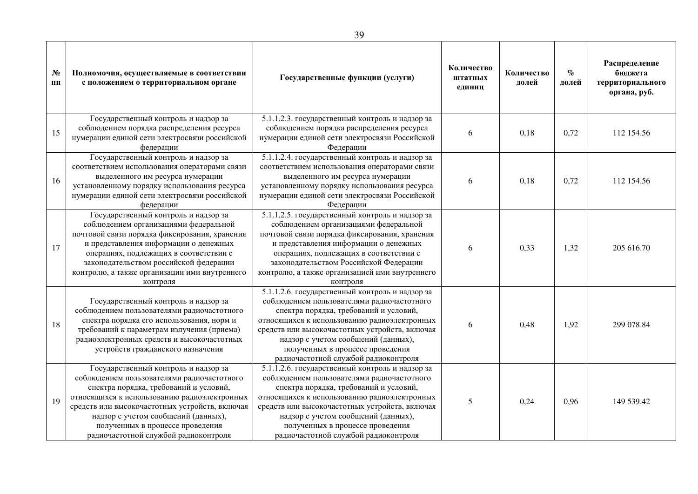| $N_2$<br>ПП | Полномочия, осуществляемые в соответствии<br>с положением о территориальном органе                                                                                                                                                                                                                                                                | Государственные функции (услуги)                                                                                                                                                                                                                                                                                                                             | Количество<br>штатных<br>единиц | Количество<br>долей | $\%$<br>долей | Распределение<br>бюджета<br>территориального<br>органа, руб. |
|-------------|---------------------------------------------------------------------------------------------------------------------------------------------------------------------------------------------------------------------------------------------------------------------------------------------------------------------------------------------------|--------------------------------------------------------------------------------------------------------------------------------------------------------------------------------------------------------------------------------------------------------------------------------------------------------------------------------------------------------------|---------------------------------|---------------------|---------------|--------------------------------------------------------------|
| 15          | Государственный контроль и надзор за<br>соблюдением порядка распределения ресурса<br>нумерации единой сети электросвязи российской<br>федерации                                                                                                                                                                                                   | 5.1.1.2.3. государственный контроль и надзор за<br>соблюдением порядка распределения ресурса<br>нумерации единой сети электросвязи Российской<br>Федерации                                                                                                                                                                                                   | 6                               | 0,18                | 0,72          | 112 154.56                                                   |
| 16          | Государственный контроль и надзор за<br>соответствием использования операторами связи<br>выделенного им ресурса нумерации<br>установленному порядку использования ресурса<br>нумерации единой сети электросвязи российской<br>федерации                                                                                                           | 5.1.1.2.4. государственный контроль и надзор за<br>соответствием использования операторами связи<br>выделенного им ресурса нумерации<br>установленному порядку использования ресурса<br>нумерации единой сети электросвязи Российской<br>Федерации                                                                                                           | 6                               | 0,18                | 0,72          | 112 154.56                                                   |
| 17          | Государственный контроль и надзор за<br>соблюдением организациями федеральной<br>почтовой связи порядка фиксирования, хранения<br>и представления информации о денежных<br>операциях, подлежащих в соответствии с<br>законодательством российской федерации<br>контролю, а также организации ими внутреннего<br>контроля                          | 5.1.1.2.5. государственный контроль и надзор за<br>соблюдением организациями федеральной<br>почтовой связи порядка фиксирования, хранения<br>и представления информации о денежных<br>операциях, подлежащих в соответствии с<br>законодательством Российской Федерации<br>контролю, а также организацией ими внутреннего<br>контроля                         | 6                               | 0,33                | 1,32          | 205 616.70                                                   |
| 18          | Государственный контроль и надзор за<br>соблюдением пользователями радиочастотного<br>спектра порядка его использования, норм и<br>требований к параметрам излучения (приема)<br>радиоэлектронных средств и высокочастотных<br>устройств гражданского назначения                                                                                  | 5.1.1.2.6. государственный контроль и надзор за<br>соблюдением пользователями радиочастотного<br>спектра порядка, требований и условий,<br>относящихся к использованию радиоэлектронных<br>средств или высокочастотных устройств, включая<br>надзор с учетом сообщений (данных),<br>полученных в процессе проведения<br>радиочастотной службой радиоконтроля | 6                               | 0,48                | 1,92          | 299 078.84                                                   |
| 19          | Государственный контроль и надзор за<br>соблюдением пользователями радиочастотного<br>спектра порядка, требований и условий,<br>относящихся к использованию радиоэлектронных<br>средств или высокочастотных устройств, включая<br>надзор с учетом сообщений (данных),<br>полученных в процессе проведения<br>радиочастотной службой радиоконтроля | 5.1.1.2.6. государственный контроль и надзор за<br>соблюдением пользователями радиочастотного<br>спектра порядка, требований и условий,<br>относящихся к использованию радиоэлектронных<br>средств или высокочастотных устройств, включая<br>надзор с учетом сообщений (данных),<br>полученных в процессе проведения<br>радиочастотной службой радиоконтроля | 5                               | 0,24                | 0,96          | 149 539.42                                                   |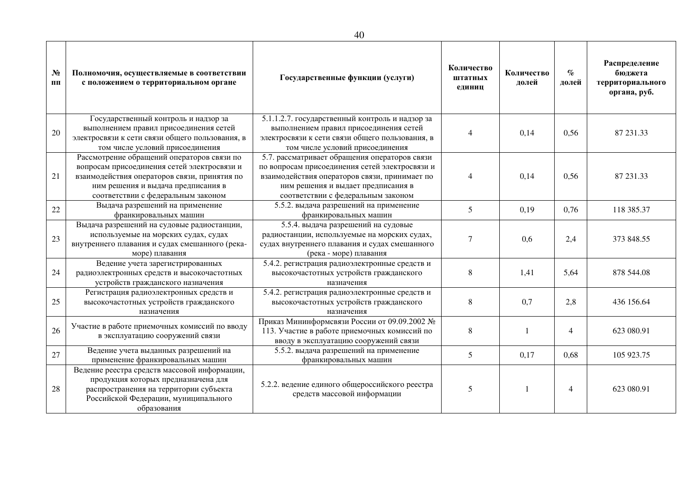| N <sub>2</sub><br>ПП | Полномочия, осуществляемые в соответствии<br>с положением о территориальном органе                                                                                                                                    | Государственные функции (услуги)                                                                                                                                                                                             | Количество<br>штатных<br>единиц | Количество<br>долей | $\%$<br>долей  | Распределение<br>бюджета<br>территориального<br>органа, руб. |
|----------------------|-----------------------------------------------------------------------------------------------------------------------------------------------------------------------------------------------------------------------|------------------------------------------------------------------------------------------------------------------------------------------------------------------------------------------------------------------------------|---------------------------------|---------------------|----------------|--------------------------------------------------------------|
| 20                   | Государственный контроль и надзор за<br>выполнением правил присоединения сетей<br>электросвязи к сети связи общего пользования, в<br>том числе условий присоединения                                                  | 5.1.1.2.7. государственный контроль и надзор за<br>выполнением правил присоединения сетей<br>электросвязи к сети связи общего пользования, в<br>том числе условий присоединения                                              | 4                               | 0,14                | 0,56           | 87 231.33                                                    |
| 21                   | Рассмотрение обращений операторов связи по<br>вопросам присоединения сетей электросвязи и<br>взаимодействия операторов связи, принятия по<br>ним решения и выдача предписания в<br>соответствии с федеральным законом | 5.7. рассматривает обращения операторов связи<br>по вопросам присоединения сетей электросвязи и<br>взаимодействия операторов связи, принимает по<br>ним решения и выдает предписания в<br>соответствии с федеральным законом | 4                               | 0,14                | 0,56           | 87 231.33                                                    |
| 22                   | Выдача разрешений на применение<br>франкировальных машин                                                                                                                                                              | 5.5.2. выдача разрешений на применение<br>франкировальных машин                                                                                                                                                              | 5                               | 0,19                | 0,76           | 118 385.37                                                   |
| 23                   | Выдача разрешений на судовые радиостанции,<br>используемые на морских судах, судах<br>внутреннего плавания и судах смешанного (река-<br>море) плавания                                                                | 5.5.4. выдача разрешений на судовые<br>радиостанции, используемые на морских судах,<br>судах внутреннего плавания и судах смешанного<br>(река - море) плавания                                                               | $\overline{7}$                  | 0.6                 | 2,4            | 373 848.55                                                   |
| 24                   | Ведение учета зарегистрированных<br>радиоэлектронных средств и высокочастотных<br>устройств гражданского назначения                                                                                                   | 5.4.2. регистрация радиоэлектронные средств и<br>высокочастотных устройств гражданского<br>назначения                                                                                                                        | 8                               | 1,41                | 5,64           | 878 544.08                                                   |
| 25                   | Регистрация радиоэлектронных средств и<br>высокочастотных устройств гражданского<br>назначения                                                                                                                        | 5.4.2. регистрация радиоэлектронные средств и<br>высокочастотных устройств гражданского<br>назначения                                                                                                                        | 8                               | 0,7                 | 2,8            | 436 156.64                                                   |
| 26                   | Участие в работе приемочных комиссий по вводу<br>в эксплуатацию сооружений связи                                                                                                                                      | Приказ Мининформсвязи России от 09.09.2002 №<br>113. Участие в работе приемочных комиссий по<br>вводу в эксплуатацию сооружений связи                                                                                        | 8                               |                     | $\overline{4}$ | 623 080.91                                                   |
| 27                   | Ведение учета выданных разрешений на<br>применение франкировальных машин                                                                                                                                              | 5.5.2. выдача разрешений на применение<br>франкировальных машин                                                                                                                                                              | 5                               | 0,17                | 0,68           | 105 923.75                                                   |
| 28                   | Ведение реестра средств массовой информации,<br>продукция которых предназначена для<br>распространения на территории субъекта<br>Российской Федерации, муниципального<br>образования                                  | 5.2.2. ведение единого общероссийского реестра<br>средств массовой информации                                                                                                                                                | 5                               |                     | $\overline{4}$ | 623 080.91                                                   |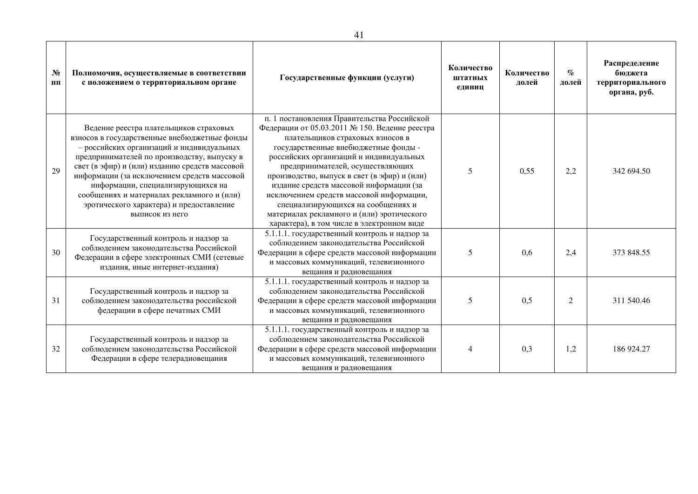| $N_2$<br>ПП | Полномочия, осуществляемые в соответствии<br>с положением о территориальном органе                                                                                                                                                                                                                                                                                                                                                    | Государственные функции (услуги)                                                                                                                                                                                                                                                                                                                                                                                                                                                                                                  | Количество<br>штатных<br>единиц | Количество<br>долей | $\%$<br>долей | Распределение<br>бюджета<br>территориального<br>органа, руб. |
|-------------|---------------------------------------------------------------------------------------------------------------------------------------------------------------------------------------------------------------------------------------------------------------------------------------------------------------------------------------------------------------------------------------------------------------------------------------|-----------------------------------------------------------------------------------------------------------------------------------------------------------------------------------------------------------------------------------------------------------------------------------------------------------------------------------------------------------------------------------------------------------------------------------------------------------------------------------------------------------------------------------|---------------------------------|---------------------|---------------|--------------------------------------------------------------|
| 29          | Ведение реестра плательщиков страховых<br>взносов в государственные внебюджетные фонды<br>- российских организаций и индивидуальных<br>предпринимателей по производству, выпуску в<br>свет (в эфир) и (или) изданию средств массовой<br>информации (за исключением средств массовой<br>информации, специализирующихся на<br>сообщениях и материалах рекламного и (или)<br>эротического характера) и предоставление<br>выписок из него | п. 1 постановления Правительства Российской<br>Федерации от 05.03.2011 № 150. Ведение реестра<br>плательщиков страховых взносов в<br>государственные внебюджетные фонды -<br>российских организаций и индивидуальных<br>предпринимателей, осуществляющих<br>производство, выпуск в свет (в эфир) и (или)<br>издание средств массовой информации (за<br>исключением средств массовой информации,<br>специализирующихся на сообщениях и<br>материалах рекламного и (или) эротического<br>характера), в том числе в электронном виде | 5                               | 0.55                | 2,2           | 342 694.50                                                   |
| 30          | Государственный контроль и надзор за<br>соблюдением законодательства Российской<br>Федерации в сфере электронных СМИ (сетевые<br>издания, иные интернет-издания)                                                                                                                                                                                                                                                                      | 5.1.1.1. государственный контроль и надзор за<br>соблюдением законодательства Российской<br>Федерации в сфере средств массовой информации<br>и массовых коммуникаций, телевизионного<br>вещания и радиовещания                                                                                                                                                                                                                                                                                                                    | 5                               | 0.6                 | 2,4           | 373 848.55                                                   |
| 31          | Государственный контроль и надзор за<br>соблюдением законодательства российской<br>федерации в сфере печатных СМИ                                                                                                                                                                                                                                                                                                                     | 5.1.1.1. государственный контроль и надзор за<br>соблюдением законодательства Российской<br>Федерации в сфере средств массовой информации<br>и массовых коммуникаций, телевизионного<br>вещания и радиовещания                                                                                                                                                                                                                                                                                                                    | 5                               | 0,5                 | 2             | 311 540.46                                                   |
| 32          | Государственный контроль и надзор за<br>соблюдением законодательства Российской<br>Федерации в сфере телерадиовещания                                                                                                                                                                                                                                                                                                                 | 5.1.1.1. государственный контроль и надзор за<br>соблюдением законодательства Российской<br>Федерации в сфере средств массовой информации<br>и массовых коммуникаций, телевизионного<br>вещания и радиовещания                                                                                                                                                                                                                                                                                                                    |                                 | 0,3                 | 1,2           | 186 924.27                                                   |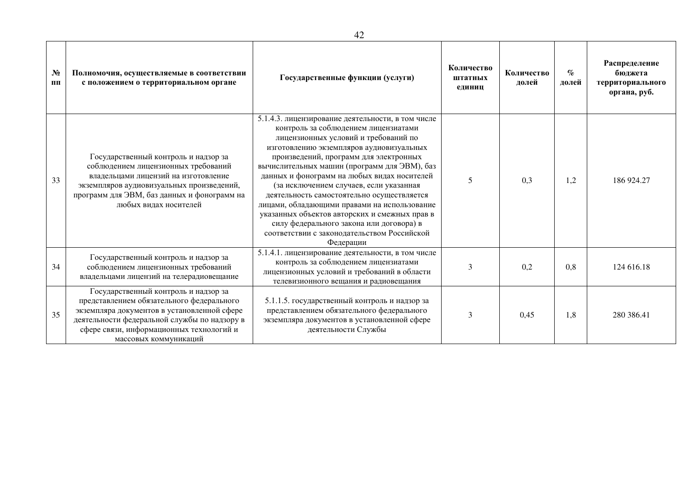| $N_2$<br>ПП | Полномочия, осуществляемые в соответствии<br>с положением о территориальном органе                                                                                                                                                                    | Государственные функции (услуги)                                                                                                                                                                                                                                                                                                                                                                                                                                                                                                                                                                                         | Количество<br>штатных<br>единиц | Количество<br>долей | $\mathcal{O}_{\mathcal{O}}$<br>долей | Распределение<br>бюджета<br>территориального<br>органа, руб. |
|-------------|-------------------------------------------------------------------------------------------------------------------------------------------------------------------------------------------------------------------------------------------------------|--------------------------------------------------------------------------------------------------------------------------------------------------------------------------------------------------------------------------------------------------------------------------------------------------------------------------------------------------------------------------------------------------------------------------------------------------------------------------------------------------------------------------------------------------------------------------------------------------------------------------|---------------------------------|---------------------|--------------------------------------|--------------------------------------------------------------|
| 33          | Государственный контроль и надзор за<br>соблюдением лицензионных требований<br>владельцами лицензий на изготовление<br>экземпляров аудиовизуальных произведений,<br>программ для ЭВМ, баз данных и фонограмм на<br>любых вилах носителей              | 5.1.4.3. лицензирование деятельности, в том числе<br>контроль за соблюдением лицензиатами<br>лицензионных условий и требований по<br>изготовлению экземпляров аудиовизуальных<br>произведений, программ для электронных<br>вычислительных машин (программ для ЭВМ), баз<br>данных и фонограмм на любых видах носителей<br>(за исключением случаев, если указанная<br>деятельность самостоятельно осуществляется<br>лицами, обладающими правами на использование<br>указанных объектов авторских и смежных прав в<br>силу федерального закона или договора) в<br>соответствии с законодательством Российской<br>Федерации | 5                               | 0.3                 | 1,2                                  | 186 924.27                                                   |
| 34          | Государственный контроль и надзор за<br>соблюдением лицензионных требований<br>владельцами лицензий на телерадиовещание                                                                                                                               | 5.1.4.1. лицензирование деятельности, в том числе<br>контроль за соблюдением лицензиатами<br>лицензионных условий и требований в области<br>телевизионного вещания и радиовещания                                                                                                                                                                                                                                                                                                                                                                                                                                        | 3                               | 0,2                 | 0,8                                  | 124 616.18                                                   |
| 35          | Государственный контроль и надзор за<br>представлением обязательного федерального<br>экземпляра документов в установленной сфере<br>деятельности федеральной службы по надзору в<br>сфере связи, информационных технологий и<br>массовых коммуникаций | 5.1.1.5. государственный контроль и надзор за<br>представлением обязательного федерального<br>экземпляра документов в установленной сфере<br>деятельности Службы                                                                                                                                                                                                                                                                                                                                                                                                                                                         | 3                               | 0,45                | 1,8                                  | 280 386.41                                                   |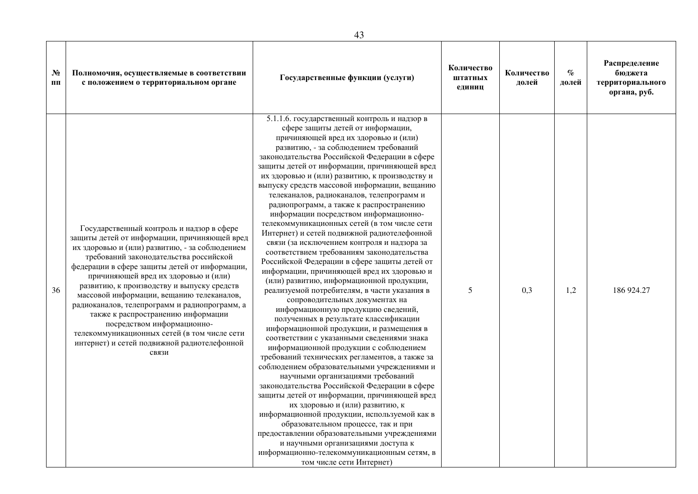| $N_2$<br>ПП | Полномочия, осуществляемые в соответствии<br>с положением о территориальном органе                                                                                                                                                                                                                                                                                                                                                                                                                                                                                                                     | Государственные функции (услуги)                                                                                                                                                                                                                                                                                                                                                                                                                                                                                                                                                                                                                                                                                                                                                                                                                                                                                                                                                                                                                                                                                                                                                                                                                                                                                                                                                                                                                                                                                                                                                                                                                                                      | Количество<br>штатных<br>единиц | Количество<br>долей | $\%$<br>долей | Распределение<br>бюджета<br>территориального<br>органа, руб. |
|-------------|--------------------------------------------------------------------------------------------------------------------------------------------------------------------------------------------------------------------------------------------------------------------------------------------------------------------------------------------------------------------------------------------------------------------------------------------------------------------------------------------------------------------------------------------------------------------------------------------------------|---------------------------------------------------------------------------------------------------------------------------------------------------------------------------------------------------------------------------------------------------------------------------------------------------------------------------------------------------------------------------------------------------------------------------------------------------------------------------------------------------------------------------------------------------------------------------------------------------------------------------------------------------------------------------------------------------------------------------------------------------------------------------------------------------------------------------------------------------------------------------------------------------------------------------------------------------------------------------------------------------------------------------------------------------------------------------------------------------------------------------------------------------------------------------------------------------------------------------------------------------------------------------------------------------------------------------------------------------------------------------------------------------------------------------------------------------------------------------------------------------------------------------------------------------------------------------------------------------------------------------------------------------------------------------------------|---------------------------------|---------------------|---------------|--------------------------------------------------------------|
| 36          | Государственный контроль и надзор в сфере<br>защиты детей от информации, причиняющей вред<br>их здоровью и (или) развитию, - за соблюдением<br>требований законодательства российской<br>федерации в сфере защиты детей от информации,<br>причиняющей вред их здоровью и (или)<br>развитию, к производству и выпуску средств<br>массовой информации, вещанию телеканалов,<br>радиоканалов, телепрограмм и радиопрограмм, а<br>также к распространению информации<br>посредством информационно-<br>телекоммуникационных сетей (в том числе сети<br>интернет) и сетей подвижной радиотелефонной<br>связи | 5.1.1.6. государственный контроль и надзор в<br>сфере защиты детей от информации,<br>причиняющей вред их здоровью и (или)<br>развитию, - за соблюдением требований<br>законодательства Российской Федерации в сфере<br>защиты детей от информации, причиняющей вред<br>их здоровью и (или) развитию, к производству и<br>выпуску средств массовой информации, вещанию<br>телеканалов, радиоканалов, телепрограмм и<br>радиопрограмм, а также к распространению<br>информации посредством информационно-<br>телекоммуникационных сетей (в том числе сети<br>Интернет) и сетей подвижной радиотелефонной<br>связи (за исключением контроля и надзора за<br>соответствием требованиям законодательства<br>Российской Федерации в сфере защиты детей от<br>информации, причиняющей вред их здоровью и<br>(или) развитию, информационной продукции,<br>реализуемой потребителям, в части указания в<br>сопроводительных документах на<br>информационную продукцию сведений,<br>полученных в результате классификации<br>информационной продукции, и размещения в<br>соответствии с указанными сведениями знака<br>информационной продукции с соблюдением<br>требований технических регламентов, а также за<br>соблюдением образовательными учреждениями и<br>научными организациями требований<br>законодательства Российской Федерации в сфере<br>защиты детей от информации, причиняющей вред<br>их здоровью и (или) развитию, к<br>информационной продукции, используемой как в<br>образовательном процессе, так и при<br>предоставлении образовательными учреждениями<br>и научными организациями доступа к<br>информационно-телекоммуникационным сетям, в<br>том числе сети Интернет) | 5                               | 0,3                 | 1,2           | 186 924.27                                                   |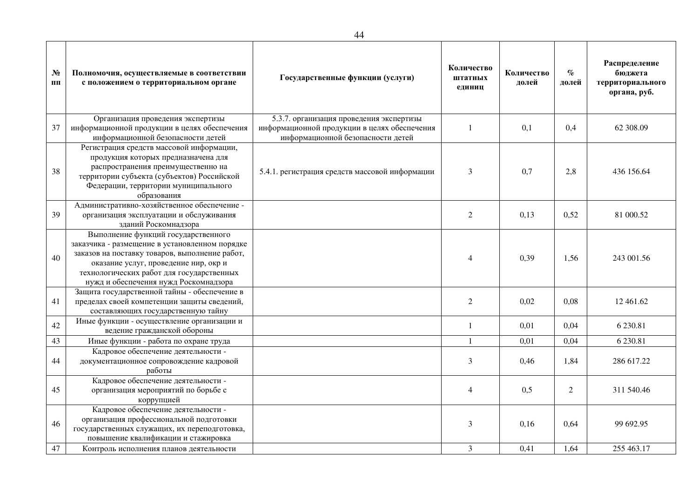| $N_2$<br>ПП | Полномочия, осуществляемые в соответствии<br>с положением о территориальном органе                                                                                                                                                                                     | Государственные функции (услуги)                                                                                              | Количество<br>штатных<br>единиц | Количество<br>долей | $\%$<br>долей  | Распределение<br>бюджета<br>территориального<br>органа, руб. |
|-------------|------------------------------------------------------------------------------------------------------------------------------------------------------------------------------------------------------------------------------------------------------------------------|-------------------------------------------------------------------------------------------------------------------------------|---------------------------------|---------------------|----------------|--------------------------------------------------------------|
| 37          | Организация проведения экспертизы<br>информационной продукции в целях обеспечения<br>информационной безопасности детей                                                                                                                                                 | 5.3.7. организация проведения экспертизы<br>информационной продукции в целях обеспечения<br>информационной безопасности детей | $\mathbf{1}$                    | 0,1                 | 0,4            | 62 308.09                                                    |
| 38          | Регистрация средств массовой информации,<br>продукция которых предназначена для<br>распространения преимущественно на<br>территории субъекта (субъектов) Российской<br>Федерации, территории муниципального<br>образования                                             | 5.4.1. регистрация средств массовой информации                                                                                | 3                               | 0,7                 | 2,8            | 436 156.64                                                   |
| 39          | Административно-хозяйственное обеспечение -<br>организация эксплуатации и обслуживания<br>зданий Роскомнадзора                                                                                                                                                         |                                                                                                                               | $\mathfrak{2}$                  | 0,13                | 0,52           | 81 000.52                                                    |
| 40          | Выполнение функций государственного<br>заказчика - размещение в установленном порядке<br>заказов на поставку товаров, выполнение работ,<br>оказание услуг, проведение нир, окр и<br>технологических работ для государственных<br>нужд и обеспечения нужд Роскомнадзора |                                                                                                                               | 4                               | 0,39                | 1,56           | 243 001.56                                                   |
| 41          | Защита государственной тайны - обеспечение в<br>пределах своей компетенции защиты сведений,<br>составляющих государственную тайну                                                                                                                                      |                                                                                                                               | $\overline{2}$                  | 0,02                | 0,08           | 12 461.62                                                    |
| 42          | Иные функции - осуществление организации и<br>ведение гражданской обороны                                                                                                                                                                                              |                                                                                                                               | $\mathbf{1}$                    | 0,01                | 0,04           | 6 230.81                                                     |
| 43          | Иные функции - работа по охране труда                                                                                                                                                                                                                                  |                                                                                                                               | $\mathbf{1}$                    | 0,01                | 0,04           | 6 230.81                                                     |
| 44          | Кадровое обеспечение деятельности -<br>документационное сопровождение кадровой<br>работы                                                                                                                                                                               |                                                                                                                               | 3                               | 0,46                | 1,84           | 286 617.22                                                   |
| 45          | Кадровое обеспечение деятельности -<br>организация мероприятий по борьбе с<br>коррупцией                                                                                                                                                                               |                                                                                                                               | 4                               | 0,5                 | $\overline{2}$ | 311 540.46                                                   |
| 46          | Кадровое обеспечение деятельности -<br>организация профессиональной подготовки<br>государственных служащих, их переподготовка,<br>повышение квалификации и стажировка                                                                                                  |                                                                                                                               | 3                               | 0,16                | 0,64           | 99 692.95                                                    |
| 47          | Контроль исполнения планов деятельности                                                                                                                                                                                                                                |                                                                                                                               | 3                               | 0,41                | 1,64           | 255 463.17                                                   |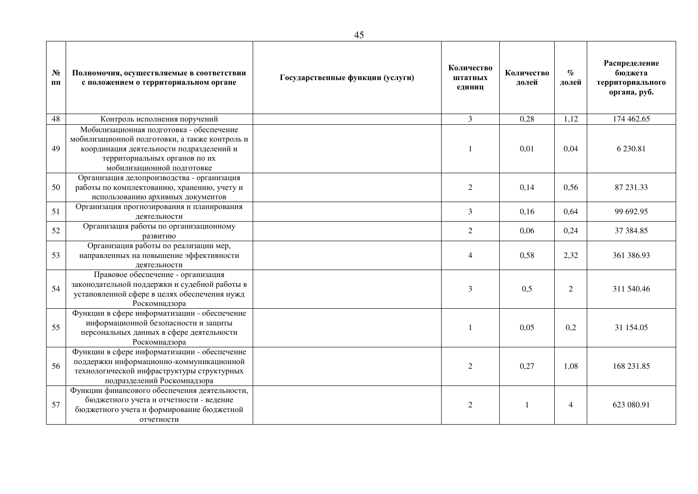| N <sub>2</sub><br>ПП | Полномочия, осуществляемые в соответствии<br>с положением о территориальном органе                                                                                                                    | Государственные функции (услуги) | Количество<br>штатных<br>единиц | Количество<br>долей | $\%$<br>долей  | Распределение<br>бюджета<br>территориального<br>органа, руб. |
|----------------------|-------------------------------------------------------------------------------------------------------------------------------------------------------------------------------------------------------|----------------------------------|---------------------------------|---------------------|----------------|--------------------------------------------------------------|
| 48                   | Контроль исполнения поручений                                                                                                                                                                         |                                  | $\overline{3}$                  | 0,28                | 1,12           | 174 462.65                                                   |
| 49                   | Мобилизационная подготовка - обеспечение<br>мобилизационной подготовки, а также контроль и<br>координация деятельности подразделений и<br>территориальных органов по их<br>мобилизационной подготовке |                                  | $\mathbf{1}$                    | 0,01                | 0,04           | 6 230.81                                                     |
| 50                   | Организация делопроизводства - организация<br>работы по комплектованию, хранению, учету и<br>использованию архивных документов                                                                        |                                  | $\overline{2}$                  | 0,14                | 0,56           | 87 231.33                                                    |
| 51                   | Организация прогнозирования и планирования<br>деятельности                                                                                                                                            |                                  | 3                               | 0,16                | 0,64           | 99 692.95                                                    |
| 52                   | Организация работы по организационному<br>развитию                                                                                                                                                    |                                  | $\overline{2}$                  | 0,06                | 0,24           | 37 384.85                                                    |
| 53                   | Организация работы по реализации мер,<br>направленных на повышение эффективности<br>деятельности                                                                                                      |                                  | $\overline{4}$                  | 0,58                | 2,32           | 361 386.93                                                   |
| 54                   | Правовое обеспечение - организация<br>законодательной поддержки и судебной работы в<br>установленной сфере в целях обеспечения нужд<br>Роскомнадзора                                                  |                                  | 3                               | 0,5                 | $\overline{2}$ | 311 540.46                                                   |
| 55                   | Функции в сфере информатизации - обеспечение<br>информационной безопасности и защиты<br>персональных данных в сфере деятельности<br>Роскомнадзора                                                     |                                  | $\mathbf{1}$                    | 0.05                | 0,2            | 31 154.05                                                    |
| 56                   | Функции в сфере информатизации - обеспечение<br>поддержки информационно-коммуникационной<br>технологической инфраструктуры структурных<br>подразделений Роскомнадзора                                 |                                  | 2                               | 0,27                | 1,08           | 168 231.85                                                   |
| 57                   | Функции финансового обеспечения деятельности,<br>бюджетного учета и отчетности - ведение<br>бюджетного учета и формирование бюджетной<br>отчетности                                                   |                                  | $\overline{2}$                  |                     | $\overline{4}$ | 623 080.91                                                   |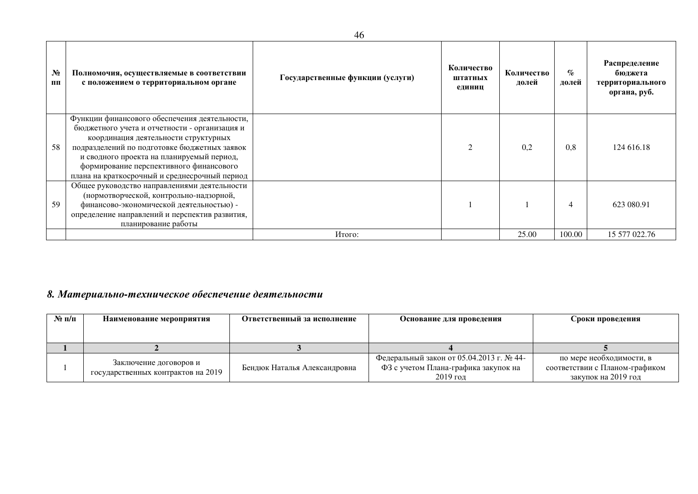| $N_2$<br>ПП | Полномочия, осуществляемые в соответствии<br>с положением о территориальном органе                                                                                                                                                                                                                                              | Государственные функции (услуги) | Количество<br>штатных<br>единиц | Количество<br>долей | $\%$<br>долей | Распределение<br>бюджета<br>территориального<br>органа, руб. |
|-------------|---------------------------------------------------------------------------------------------------------------------------------------------------------------------------------------------------------------------------------------------------------------------------------------------------------------------------------|----------------------------------|---------------------------------|---------------------|---------------|--------------------------------------------------------------|
| 58          | Функции финансового обеспечения деятельности,<br>бюджетного учета и отчетности - организация и<br>координация деятельности структурных<br>подразделений по подготовке бюджетных заявок<br>и сводного проекта на планируемый период,<br>формирование перспективного финансового<br>плана на краткосрочный и среднесрочный период |                                  | $\mathcal{D}$                   | 0.2                 | 0.8           | 124 616.18                                                   |
| 59          | Общее руководство направлениями деятельности<br>(нормотворческой, контрольно-надзорной,<br>финансово-экономической деятельностью) -<br>определение направлений и перспектив развития,<br>планирование работы                                                                                                                    |                                  |                                 |                     | 4             | 623 080.91                                                   |
|             |                                                                                                                                                                                                                                                                                                                                 | Итого:                           |                                 | 25.00               | 100.00        | 15 577 022.76                                                |

## 8. Материально-техническое обеспечение деятельности

| $N_2$ п/п | Наименование мероприятия                                     | Ответственный за исполнение  | Основание для проведения                                                                     | Сроки проведения                                                                  |
|-----------|--------------------------------------------------------------|------------------------------|----------------------------------------------------------------------------------------------|-----------------------------------------------------------------------------------|
|           |                                                              |                              |                                                                                              |                                                                                   |
|           |                                                              |                              |                                                                                              |                                                                                   |
|           | Заключение договоров и<br>государственных контрактов на 2019 | Бендюк Наталья Александровна | Федеральный закон от 05.04.2013 г. № 44-<br>ФЗ с учетом Плана-графика закупок на<br>2019 год | по мере необходимости, в<br>соответствии с Планом-графиком<br>закупок на 2019 год |